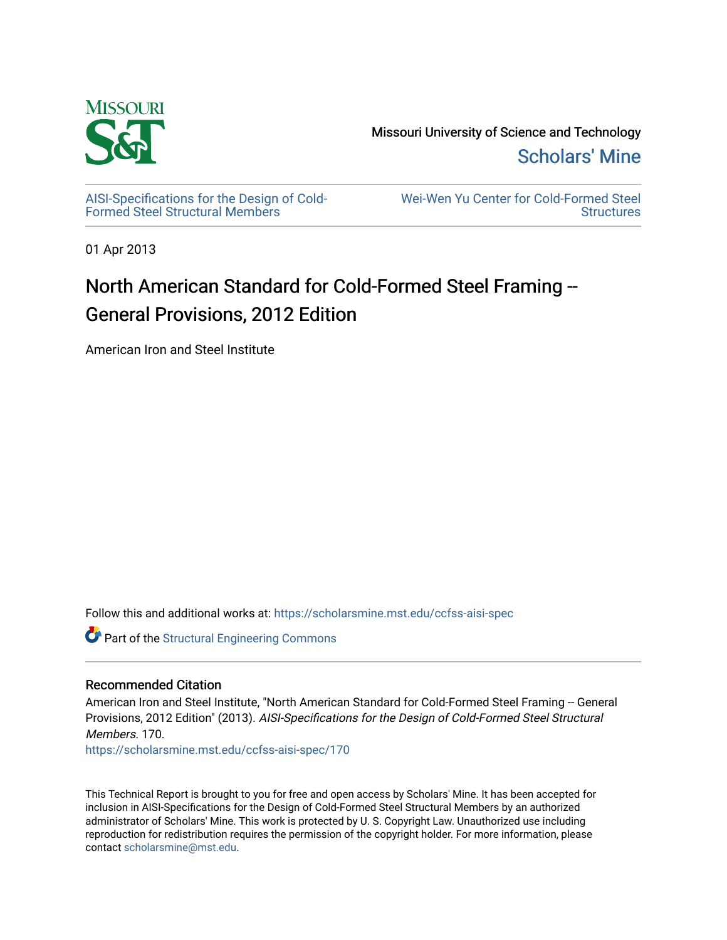

[AISI-Specifications for the Design of Cold-](https://scholarsmine.mst.edu/ccfss-aisi-spec)[Formed Steel Structural Members](https://scholarsmine.mst.edu/ccfss-aisi-spec)

[Wei-Wen Yu Center for Cold-Formed Steel](https://scholarsmine.mst.edu/ccfss)  **Structures** 

01 Apr 2013

## North American Standard for Cold-Formed Steel Framing --General Provisions, 2012 Edition

American Iron and Steel Institute

Follow this and additional works at: [https://scholarsmine.mst.edu/ccfss-aisi-spec](https://scholarsmine.mst.edu/ccfss-aisi-spec?utm_source=scholarsmine.mst.edu%2Fccfss-aisi-spec%2F170&utm_medium=PDF&utm_campaign=PDFCoverPages) 

**Part of the Structural Engineering Commons** 

## Recommended Citation

American Iron and Steel Institute, "North American Standard for Cold-Formed Steel Framing -- General Provisions, 2012 Edition" (2013). AISI-Specifications for the Design of Cold-Formed Steel Structural Members. 170.

[https://scholarsmine.mst.edu/ccfss-aisi-spec/170](https://scholarsmine.mst.edu/ccfss-aisi-spec/170?utm_source=scholarsmine.mst.edu%2Fccfss-aisi-spec%2F170&utm_medium=PDF&utm_campaign=PDFCoverPages) 

This Technical Report is brought to you for free and open access by Scholars' Mine. It has been accepted for inclusion in AISI-Specifications for the Design of Cold-Formed Steel Structural Members by an authorized administrator of Scholars' Mine. This work is protected by U. S. Copyright Law. Unauthorized use including reproduction for redistribution requires the permission of the copyright holder. For more information, please contact [scholarsmine@mst.edu](mailto:scholarsmine@mst.edu).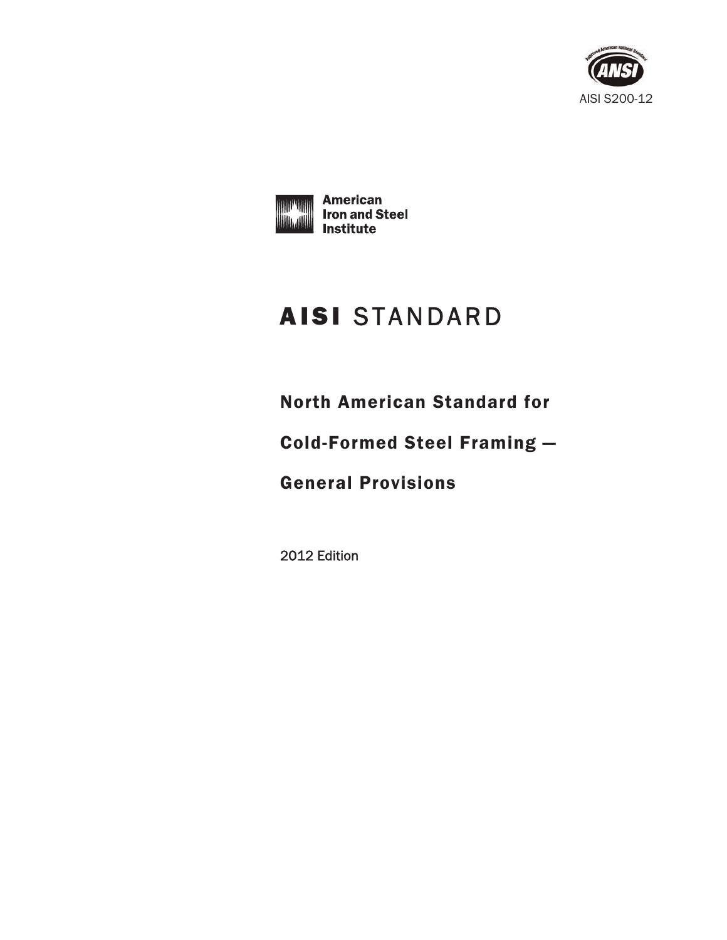



# AISI STANDARD

## North American Standard for

## Cold-Formed Steel Framing —

## General Provisions

2012 Edition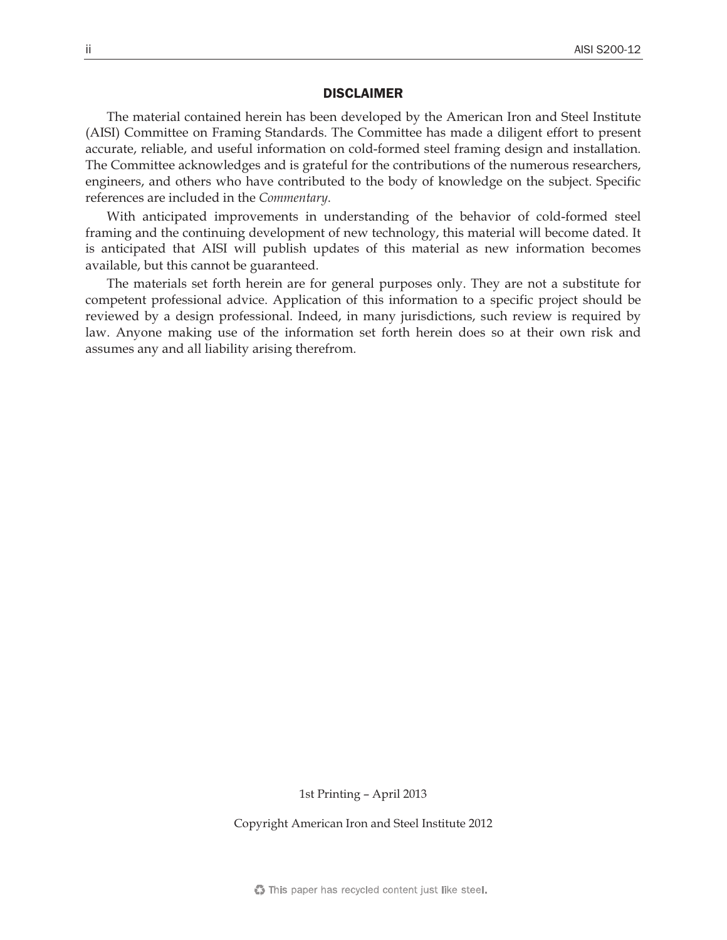## DISCLAIMER

The material contained herein has been developed by the American Iron and Steel Institute (AISI) Committee on Framing Standards. The Committee has made a diligent effort to present accurate, reliable, and useful information on cold-formed steel framing design and installation. The Committee acknowledges and is grateful for the contributions of the numerous researchers, engineers, and others who have contributed to the body of knowledge on the subject. Specific references are included in the *Commentary*.

With anticipated improvements in understanding of the behavior of cold-formed steel framing and the continuing development of new technology, this material will become dated. It is anticipated that AISI will publish updates of this material as new information becomes available, but this cannot be guaranteed.

The materials set forth herein are for general purposes only. They are not a substitute for competent professional advice. Application of this information to a specific project should be reviewed by a design professional. Indeed, in many jurisdictions, such review is required by law. Anyone making use of the information set forth herein does so at their own risk and assumes any and all liability arising therefrom.

1st Printing – April 2013

Copyright American Iron and Steel Institute 2012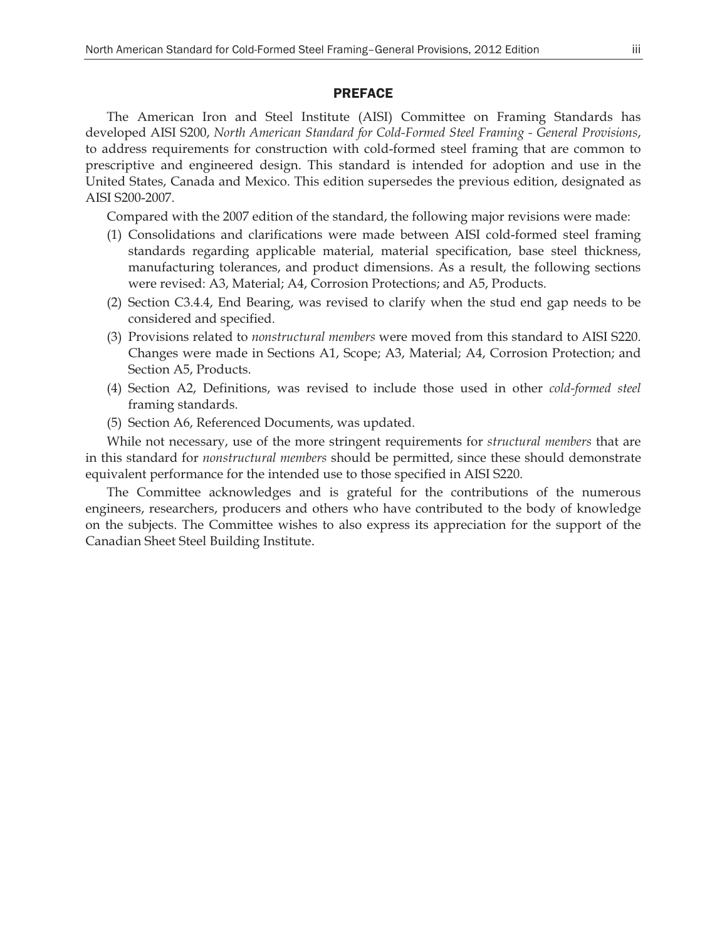#### PREFACE

The American Iron and Steel Institute (AISI) Committee on Framing Standards has developed AISI S200, *North American Standard for Cold-Formed Steel Framing - General Provisions*, to address requirements for construction with cold-formed steel framing that are common to prescriptive and engineered design. This standard is intended for adoption and use in the United States, Canada and Mexico. This edition supersedes the previous edition, designated as AISI S200-2007.

Compared with the 2007 edition of the standard, the following major revisions were made:

- (1) Consolidations and clarifications were made between AISI cold-formed steel framing standards regarding applicable material, material specification, base steel thickness, manufacturing tolerances, and product dimensions. As a result, the following sections were revised: A3, Material; A4, Corrosion Protections; and A5, Products.
- (2) Section C3.4.4, End Bearing, was revised to clarify when the stud end gap needs to be considered and specified.
- (3) Provisions related to *nonstructural members* were moved from this standard to AISI S220. Changes were made in Sections A1, Scope; A3, Material; A4, Corrosion Protection; and Section A5, Products.
- (4) Section A2, Definitions, was revised to include those used in other *cold-formed steel* framing standards.
- (5) Section A6, Referenced Documents, was updated.

While not necessary, use of the more stringent requirements for *structural members* that are in this standard for *nonstructural members* should be permitted, since these should demonstrate equivalent performance for the intended use to those specified in AISI S220.

The Committee acknowledges and is grateful for the contributions of the numerous engineers, researchers, producers and others who have contributed to the body of knowledge on the subjects. The Committee wishes to also express its appreciation for the support of the Canadian Sheet Steel Building Institute.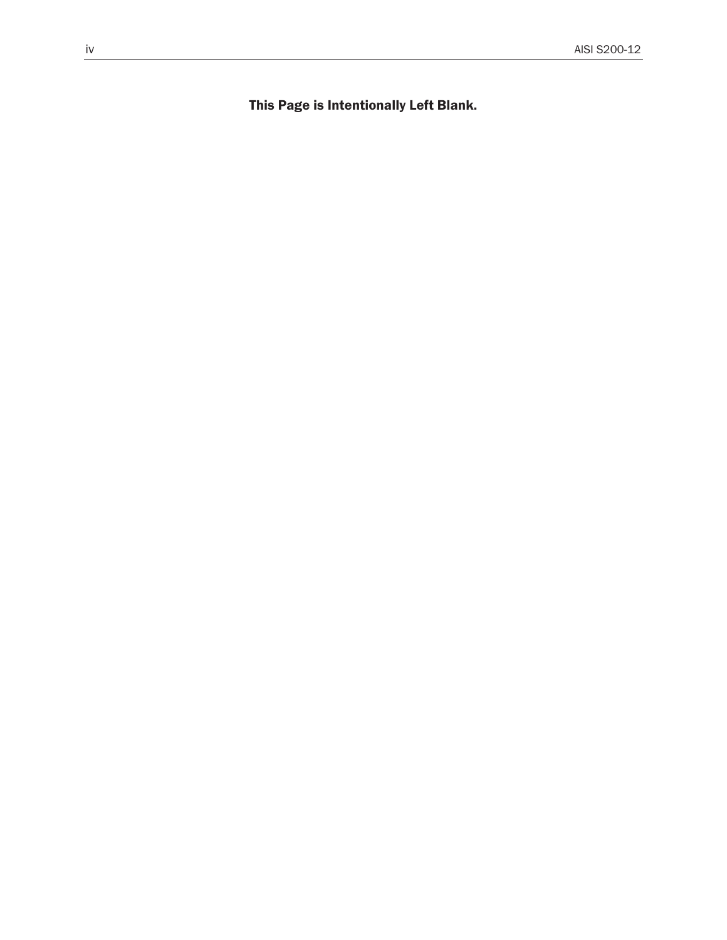This Page is Intentionally Left Blank.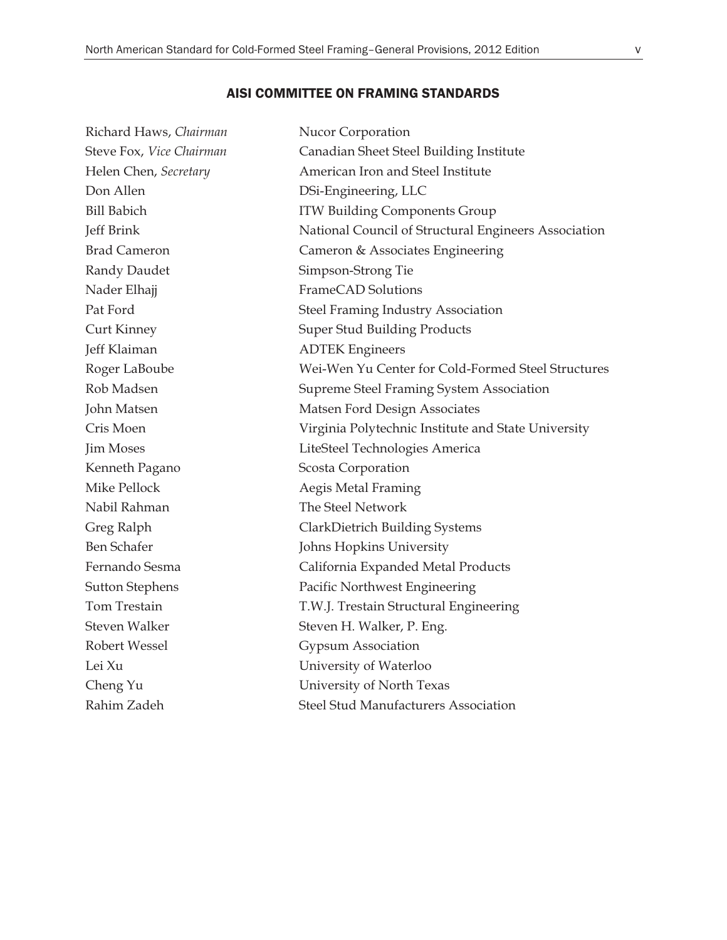## AISI COMMITTEE ON FRAMING STANDARDS

| Richard Haws, Chairman   | <b>Nucor Corporation</b>                             |  |
|--------------------------|------------------------------------------------------|--|
| Steve Fox, Vice Chairman | Canadian Sheet Steel Building Institute              |  |
| Helen Chen, Secretary    | American Iron and Steel Institute                    |  |
| Don Allen                | DSi-Engineering, LLC                                 |  |
| <b>Bill Babich</b>       | ITW Building Components Group                        |  |
| Jeff Brink               | National Council of Structural Engineers Association |  |
| <b>Brad Cameron</b>      | Cameron & Associates Engineering                     |  |
| Randy Daudet             | Simpson-Strong Tie                                   |  |
| Nader Elhajj             | FrameCAD Solutions                                   |  |
| Pat Ford                 | <b>Steel Framing Industry Association</b>            |  |
| <b>Curt Kinney</b>       | <b>Super Stud Building Products</b>                  |  |
| Jeff Klaiman             | <b>ADTEK Engineers</b>                               |  |
| Roger LaBoube            | Wei-Wen Yu Center for Cold-Formed Steel Structures   |  |
| Rob Madsen               | Supreme Steel Framing System Association             |  |
| John Matsen              | Matsen Ford Design Associates                        |  |
| Cris Moen                | Virginia Polytechnic Institute and State University  |  |
| <b>Jim Moses</b>         | LiteSteel Technologies America                       |  |
| Kenneth Pagano           | Scosta Corporation                                   |  |
| Mike Pellock             | <b>Aegis Metal Framing</b>                           |  |
| Nabil Rahman             | The Steel Network                                    |  |
| Greg Ralph               | <b>ClarkDietrich Building Systems</b>                |  |
| <b>Ben Schafer</b>       | Johns Hopkins University                             |  |
| Fernando Sesma           | California Expanded Metal Products                   |  |
| <b>Sutton Stephens</b>   | Pacific Northwest Engineering                        |  |
| Tom Trestain             | T.W.J. Trestain Structural Engineering               |  |
| <b>Steven Walker</b>     | Steven H. Walker, P. Eng.                            |  |
| Robert Wessel            | <b>Gypsum Association</b>                            |  |
| Lei Xu                   | University of Waterloo                               |  |
| Cheng Yu                 | University of North Texas                            |  |
| Rahim Zadeh              | Steel Stud Manufacturers Association                 |  |
|                          |                                                      |  |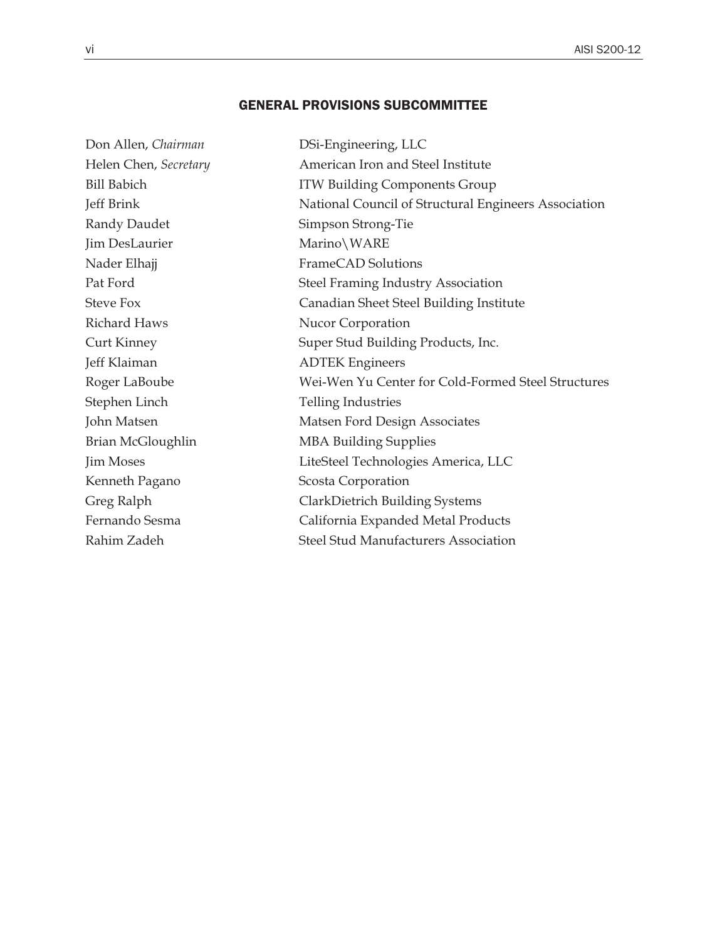## GENERAL PROVISIONS SUBCOMMITTEE

| Don Allen, Chairman   | DSi-Engineering, LLC                                 |
|-----------------------|------------------------------------------------------|
| Helen Chen, Secretary | American Iron and Steel Institute                    |
| <b>Bill Babich</b>    | ITW Building Components Group                        |
| Jeff Brink            | National Council of Structural Engineers Association |
| Randy Daudet          | Simpson Strong-Tie                                   |
| Jim DesLaurier        | Marino\WARE                                          |
| Nader Elhajj          | FrameCAD Solutions                                   |
| Pat Ford              | <b>Steel Framing Industry Association</b>            |
| Steve Fox             | Canadian Sheet Steel Building Institute              |
| <b>Richard Haws</b>   | Nucor Corporation                                    |
| <b>Curt Kinney</b>    | Super Stud Building Products, Inc.                   |
| Jeff Klaiman          | <b>ADTEK</b> Engineers                               |
| Roger LaBoube         | Wei-Wen Yu Center for Cold-Formed Steel Structures   |
| Stephen Linch         | Telling Industries                                   |
| John Matsen           | Matsen Ford Design Associates                        |
| Brian McGloughlin     | <b>MBA Building Supplies</b>                         |
| <b>Jim Moses</b>      | LiteSteel Technologies America, LLC                  |
| Kenneth Pagano        | Scosta Corporation                                   |
| Greg Ralph            | <b>ClarkDietrich Building Systems</b>                |
| Fernando Sesma        | California Expanded Metal Products                   |
| Rahim Zadeh           | <b>Steel Stud Manufacturers Association</b>          |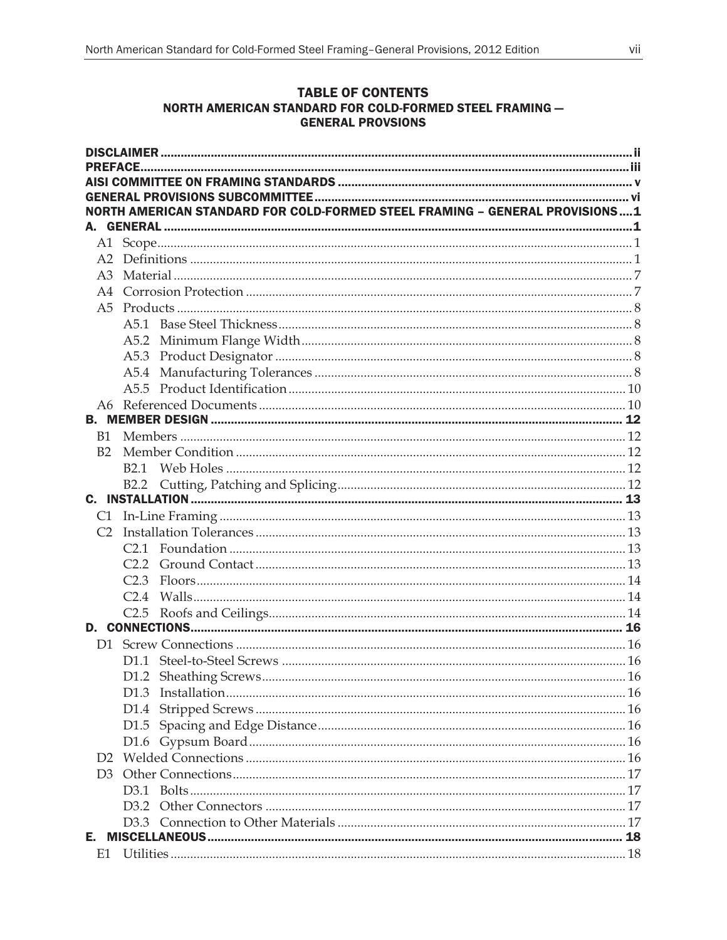## **TABLE OF CONTENTS** NORTH AMERICAN STANDARD FOR COLD-FORMED STEEL FRAMING -**GENERAL PROVSIONS**

|           |      | NORTH AMERICAN STANDARD FOR COLD-FORMED STEEL FRAMING - GENERAL PROVISIONS1 |  |
|-----------|------|-----------------------------------------------------------------------------|--|
|           |      |                                                                             |  |
|           |      |                                                                             |  |
|           |      |                                                                             |  |
|           |      |                                                                             |  |
|           |      |                                                                             |  |
|           |      |                                                                             |  |
|           |      |                                                                             |  |
|           |      |                                                                             |  |
|           |      |                                                                             |  |
|           |      |                                                                             |  |
|           |      |                                                                             |  |
|           |      |                                                                             |  |
|           |      |                                                                             |  |
| <b>B1</b> |      |                                                                             |  |
| B2        |      |                                                                             |  |
|           |      |                                                                             |  |
|           |      |                                                                             |  |
|           |      |                                                                             |  |
|           |      |                                                                             |  |
|           |      |                                                                             |  |
|           |      |                                                                             |  |
|           | C2.2 |                                                                             |  |
|           |      |                                                                             |  |
|           |      |                                                                             |  |
|           |      |                                                                             |  |
|           |      |                                                                             |  |
|           |      |                                                                             |  |
|           |      |                                                                             |  |
|           |      |                                                                             |  |
|           |      |                                                                             |  |
|           |      |                                                                             |  |
|           |      |                                                                             |  |
|           |      |                                                                             |  |
|           |      |                                                                             |  |
|           |      |                                                                             |  |
|           |      |                                                                             |  |
|           |      |                                                                             |  |
| Е.        |      |                                                                             |  |
| Е1        |      |                                                                             |  |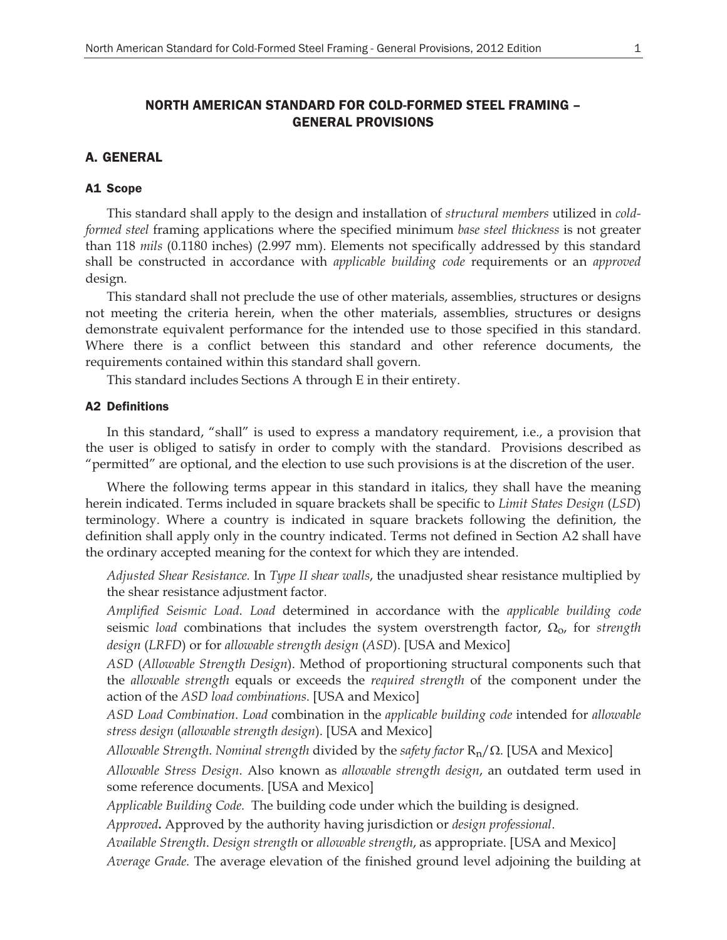## NORTH AMERICAN STANDARD FOR COLD-FORMED STEEL FRAMING – GENERAL PROVISIONS

## A. GENERAL

### A1 Scope

This standard shall apply to the design and installation of *structural members* utilized in *coldformed steel* framing applications where the specified minimum *base steel thickness* is not greater than 118 *mils* (0.1180 inches) (2.997 mm). Elements not specifically addressed by this standard shall be constructed in accordance with *applicable building code* requirements or an *approved* design.

This standard shall not preclude the use of other materials, assemblies, structures or designs not meeting the criteria herein, when the other materials, assemblies, structures or designs demonstrate equivalent performance for the intended use to those specified in this standard. Where there is a conflict between this standard and other reference documents, the requirements contained within this standard shall govern.

This standard includes Sections A through E in their entirety.

#### A2 Definitions

In this standard, "shall" is used to express a mandatory requirement, i.e., a provision that the user is obliged to satisfy in order to comply with the standard. Provisions described as "permitted" are optional, and the election to use such provisions is at the discretion of the user.

Where the following terms appear in this standard in italics, they shall have the meaning herein indicated. Terms included in square brackets shall be specific to *Limit States Design* (*LSD*) terminology. Where a country is indicated in square brackets following the definition, the definition shall apply only in the country indicated. Terms not defined in Section A2 shall have the ordinary accepted meaning for the context for which they are intended.

 *Adjusted Shear Resistance.* In *Type II shear walls*, the unadjusted shear resistance multiplied by the shear resistance adjustment factor.

 *Amplified Seismic Load*. *Load* determined in accordance with the *applicable building code* seismic *load* combinations that includes the system overstrength factor,  $\Omega$ <sub>o</sub>, for *strength design* (*LRFD*) or for *allowable strength design* (*ASD*). [USA and Mexico]

*ASD* (*Allowable Strength Design*). Method of proportioning structural components such that the *allowable strength* equals or exceeds the *required strength* of the component under the action of the *ASD load combinations*. [USA and Mexico]

*ASD Load Combination*. *Load* combination in the *applicable building code* intended for *allowable stress design* (*allowable strength design*). [USA and Mexico]

*Allowable Strength*. *Nominal strength* divided by the *safety factor* Rn/-. [USA and Mexico]

 *Allowable Stress Design*. Also known as *allowable strength design*, an outdated term used in some reference documents. [USA and Mexico]

 *Applicable Building Code.* The building code under which the building is designed.

 *Approved***.** Approved by the authority having jurisdiction or *design professional*.

*Available Strength*. *Design strength* or *allowable strength*, as appropriate. [USA and Mexico]  *Average Grade.* The average elevation of the finished ground level adjoining the building at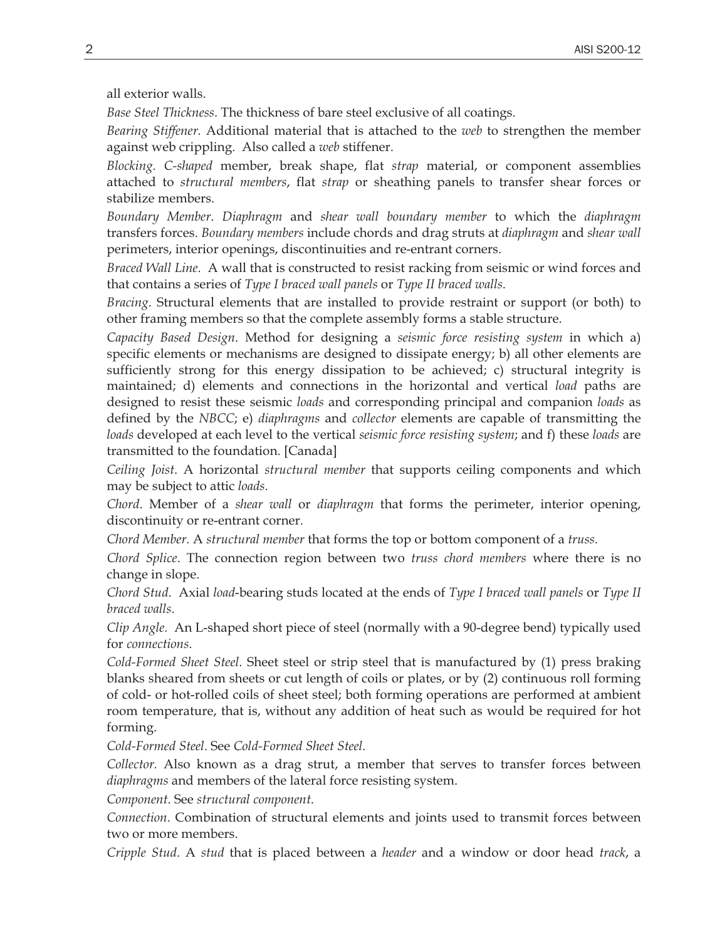all exterior walls.

 *Base Steel Thickness*. The thickness of bare steel exclusive of all coatings.

 *Bearing Stiffener.* Additional material that is attached to the *web* to strengthen the member against web crippling. Also called a *web* stiffener.

 *Blocking. C-shaped* member, break shape, flat *strap* material, or component assemblies attached to *structural members*, flat *strap* or sheathing panels to transfer shear forces or stabilize members.

 *Boundary Member*. *Diaphragm* and *shear wall boundary member* to which the *diaphragm* transfers forces. *Boundary members* include chords and drag struts at *diaphragm* and *shear wall* perimeters, interior openings, discontinuities and re-entrant corners.

 *Braced Wall Line.* A wall that is constructed to resist racking from seismic or wind forces and that contains a series of *Type I braced wall panels* or *Type II braced walls*.

 *Bracing*. Structural elements that are installed to provide restraint or support (or both) to other framing members so that the complete assembly forms a stable structure.

 *Capacity Based Design*. Method for designing a *seismic force resisting system* in which a) specific elements or mechanisms are designed to dissipate energy; b) all other elements are sufficiently strong for this energy dissipation to be achieved; c) structural integrity is maintained; d) elements and connections in the horizontal and vertical *load* paths are designed to resist these seismic *loads* and corresponding principal and companion *loads* as defined by the *NBCC*; e) *diaphragms* and *collector* elements are capable of transmitting the *loads* developed at each level to the vertical *seismic force resisting system*; and f) these *loads* are transmitted to the foundation. [Canada]

 *Ceiling Joist*. A horizontal *structural member* that supports ceiling components and which may be subject to attic *loads*.

 *Chord*. Member of a *shear wall* or *diaphragm* that forms the perimeter, interior opening, discontinuity or re-entrant corner.

 *Chord Member.* A *structural member* that forms the top or bottom component of a *truss*.

 *Chord Splice*. The connection region between two *truss chord members* where there is no change in slope.

*Chord Stud*. Axial *load*-bearing studs located at the ends of *Type I braced wall panels* or *Type II braced walls*.

 *Clip Angle.* An L-shaped short piece of steel (normally with a 90-degree bend) typically used for *connections*.

 *Cold-Formed Sheet Steel*. Sheet steel or strip steel that is manufactured by (1) press braking blanks sheared from sheets or cut length of coils or plates, or by (2) continuous roll forming of cold- or hot-rolled coils of sheet steel; both forming operations are performed at ambient room temperature, that is, without any addition of heat such as would be required for hot forming.

*Cold-Formed Steel*. See *Cold-Formed Sheet Steel*.

 *Collector.* Also known as a drag strut, a member that serves to transfer forces between *diaphragms* and members of the lateral force resisting system.

*Component*. See *structural component*.

 *Connection*. Combination of structural elements and joints used to transmit forces between two or more members.

 *Cripple Stud*. A *stud* that is placed between a *header* and a window or door head *track*, a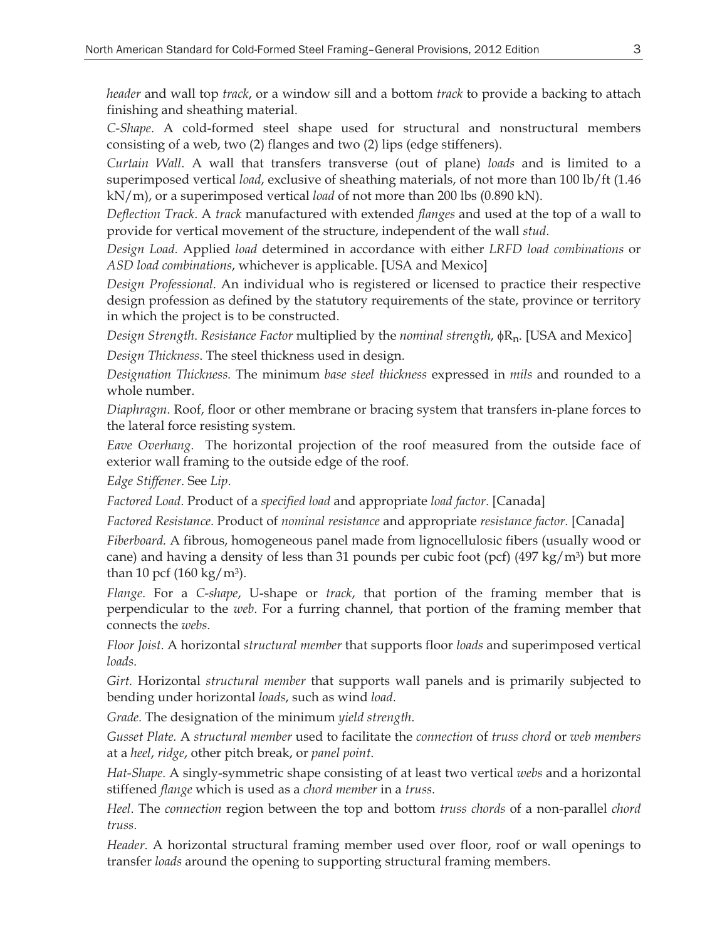*header* and wall top *track*, or a window sill and a bottom *track* to provide a backing to attach finishing and sheathing material.

*C-Shape*. A cold-formed steel shape used for structural and nonstructural members consisting of a web, two (2) flanges and two (2) lips (edge stiffeners).

 *Curtain Wall*. A wall that transfers transverse (out of plane) *loads* and is limited to a superimposed vertical *load*, exclusive of sheathing materials, of not more than 100 lb/ft (1.46 kN/m), or a superimposed vertical *load* of not more than 200 lbs (0.890 kN).

 *Deflection Track*. A *track* manufactured with extended *flanges* and used at the top of a wall to provide for vertical movement of the structure, independent of the wall *stud*.

 *Design Load.* Applied *load* determined in accordance with either *LRFD load combinations* or *ASD load combinations*, whichever is applicable. [USA and Mexico]

 *Design Professional*. An individual who is registered or licensed to practice their respective design profession as defined by the statutory requirements of the state, province or territory in which the project is to be constructed.

*Design Strength. Resistance Factor* multiplied by the *nominal strength*,  $\phi$ R<sub>n</sub>. [USA and Mexico]

 *Design Thickness*. The steel thickness used in design.

 *Designation Thickness.* The minimum *base steel thickness* expressed in *mils* and rounded to a whole number.

*Diaphragm*. Roof, floor or other membrane or bracing system that transfers in-plane forces to the lateral force resisting system.

*Eave Overhang.* The horizontal projection of the roof measured from the outside face of exterior wall framing to the outside edge of the roof.

*Edge Stiffener*. See *Lip*.

*Factored Load*. Product of a *specified load* and appropriate *load factor*. [Canada]

*Factored Resistance*. Product of *nominal resistance* and appropriate *resistance factor*. [Canada]

*Fiberboard.* A fibrous, homogeneous panel made from lignocellulosic fibers (usually wood or cane) and having a density of less than 31 pounds per cubic foot (pcf)  $(497 \text{ kg/m}^3)$  but more than 10 pcf (160 kg/m<sup>3</sup>).

*Flange*. For a *C-shape*, U-shape or *track*, that portion of the framing member that is perpendicular to the *web*. For a furring channel, that portion of the framing member that connects the *webs*.

*Floor Joist*. A horizontal *structural member* that supports floor *loads* and superimposed vertical *loads*.

*Girt.* Horizontal *structural member* that supports wall panels and is primarily subjected to bending under horizontal *loads*, such as wind *load*.

*Grade.* The designation of the minimum *yield strength*.

*Gusset Plate.* A *structural member* used to facilitate the *connection* of *truss chord* or *web members* at a *heel*, *ridge*, other pitch break, or *panel point*.

*Hat-Shape.* A singly-symmetric shape consisting of at least two vertical *webs* and a horizontal stiffened *flange* which is used as a *chord member* in a *truss*.

*Heel*. The *connection* region between the top and bottom *truss chords* of a non-parallel *chord truss*.

*Header*. A horizontal structural framing member used over floor, roof or wall openings to transfer *loads* around the opening to supporting structural framing members.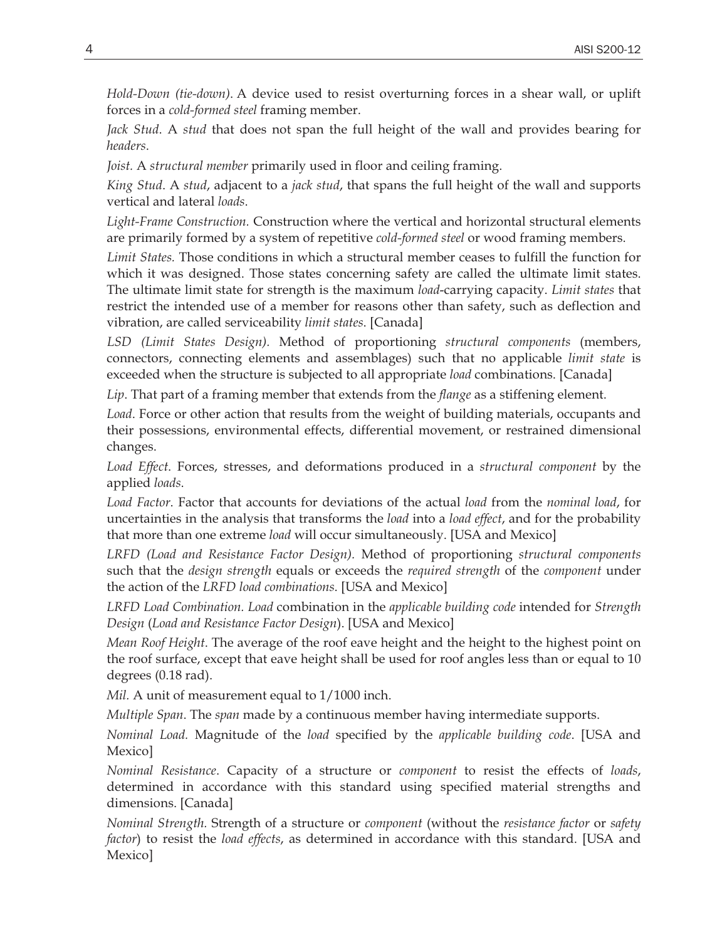*Hold-Down (tie-down)*. A device used to resist overturning forces in a shear wall, or uplift forces in a *cold-formed steel* framing member.

*Jack Stud*. A *stud* that does not span the full height of the wall and provides bearing for *headers*.

*Joist.* A *structural member* primarily used in floor and ceiling framing.

*King Stud*. A *stud*, adjacent to a *jack stud*, that spans the full height of the wall and supports vertical and lateral *loads*.

*Light-Frame Construction.* Construction where the vertical and horizontal structural elements are primarily formed by a system of repetitive *cold-formed steel* or wood framing members.

*Limit States.* Those conditions in which a structural member ceases to fulfill the function for which it was designed. Those states concerning safety are called the ultimate limit states. The ultimate limit state for strength is the maximum *load*-carrying capacity. *Limit states* that restrict the intended use of a member for reasons other than safety, such as deflection and vibration, are called serviceability *limit states*. [Canada]

*LSD (Limit States Design).* Method of proportioning *structural components* (members, connectors, connecting elements and assemblages) such that no applicable *limit state* is exceeded when the structure is subjected to all appropriate *load* combinations. [Canada]

*Lip*. That part of a framing member that extends from the *flange* as a stiffening element.

*Load*. Force or other action that results from the weight of building materials, occupants and their possessions, environmental effects, differential movement, or restrained dimensional changes.

*Load Effect*. Forces, stresses, and deformations produced in a *structural component* by the applied *loads*.

*Load Factor*. Factor that accounts for deviations of the actual *load* from the *nominal load*, for uncertainties in the analysis that transforms the *load* into a *load effect*, and for the probability that more than one extreme *load* will occur simultaneously. [USA and Mexico]

*LRFD (Load and Resistance Factor Design).* Method of proportioning *structural components* such that the *design strength* equals or exceeds the *required strength* of the *component* under the action of the *LRFD load combinations*. [USA and Mexico]

*LRFD Load Combination. Load* combination in the *applicable building code* intended for *Strength Design* (*Load and Resistance Factor Design*). [USA and Mexico]

*Mean Roof Height*. The average of the roof eave height and the height to the highest point on the roof surface, except that eave height shall be used for roof angles less than or equal to 10 degrees (0.18 rad).

*Mil.* A unit of measurement equal to 1/1000 inch.

*Multiple Span*. The *span* made by a continuous member having intermediate supports.

*Nominal Load.* Magnitude of the *load* specified by the *applicable building code*. [USA and Mexico]

*Nominal Resistance*. Capacity of a structure or *component* to resist the effects of *loads*, determined in accordance with this standard using specified material strengths and dimensions. [Canada]

*Nominal Strength.* Strength of a structure or *component* (without the *resistance factor* or *safety factor*) to resist the *load effects*, as determined in accordance with this standard. [USA and Mexico]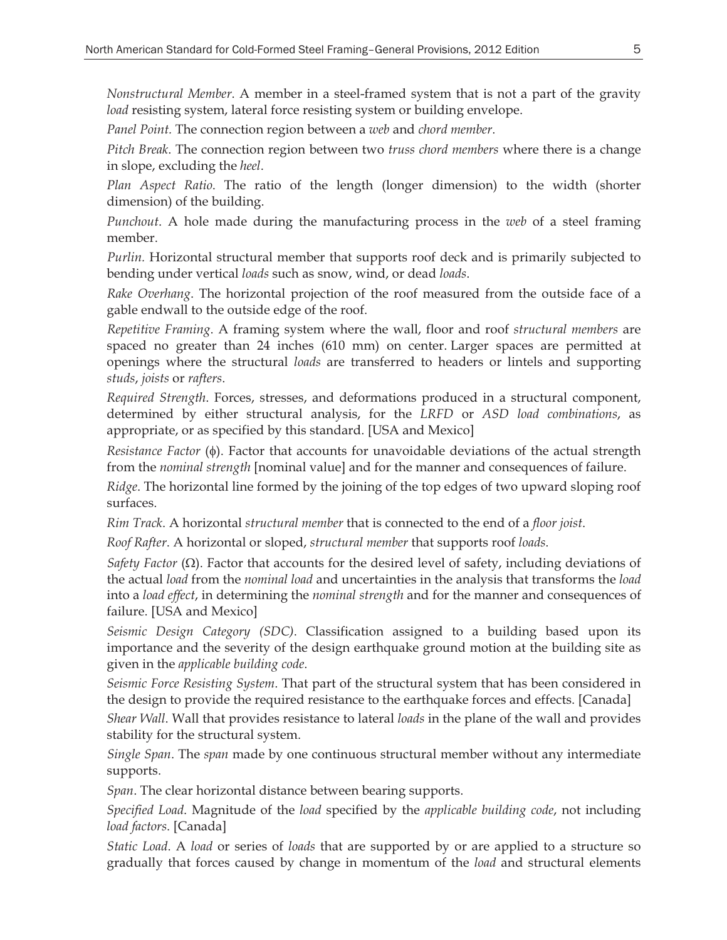*Nonstructural Member*. A member in a steel-framed system that is not a part of the gravity *load* resisting system, lateral force resisting system or building envelope.

*Panel Point.* The connection region between a *web* and *chord member*.

*Pitch Break*. The connection region between two *truss chord members* where there is a change in slope, excluding the *heel*.

*Plan Aspect Ratio*. The ratio of the length (longer dimension) to the width (shorter dimension) of the building.

*Punchout*. A hole made during the manufacturing process in the *web* of a steel framing member.

*Purlin.* Horizontal structural member that supports roof deck and is primarily subjected to bending under vertical *loads* such as snow, wind, or dead *loads*.

*Rake Overhang*. The horizontal projection of the roof measured from the outside face of a gable endwall to the outside edge of the roof.

*Repetitive Framing*. A framing system where the wall, floor and roof *structural members* are spaced no greater than 24 inches (610 mm) on center. Larger spaces are permitted at openings where the structural *loads* are transferred to headers or lintels and supporting *studs*, *joists* or *rafters*.

*Required Strength*. Forces, stresses, and deformations produced in a structural component, determined by either structural analysis, for the *LRFD* or *ASD load combinations*, as appropriate, or as specified by this standard. [USA and Mexico]

*Resistance Factor* ( $\phi$ ). Factor that accounts for unavoidable deviations of the actual strength from the *nominal strength* [nominal value] and for the manner and consequences of failure.

*Ridge*. The horizontal line formed by the joining of the top edges of two upward sloping roof surfaces.

*Rim Track*. A horizontal *structural member* that is connected to the end of a *floor joist*.

*Roof Rafter*. A horizontal or sloped, *structural member* that supports roof *loads*.

 $Safety Factor$  ( $\Omega$ ). Factor that accounts for the desired level of safety, including deviations of the actual *load* from the *nominal load* and uncertainties in the analysis that transforms the *load* into a *load effect*, in determining the *nominal strength* and for the manner and consequences of failure. [USA and Mexico]

*Seismic Design Category (SDC)*. Classification assigned to a building based upon its importance and the severity of the design earthquake ground motion at the building site as given in the *applicable building code*.

 *Seismic Force Resisting System*. That part of the structural system that has been considered in the design to provide the required resistance to the earthquake forces and effects. [Canada]

*Shear Wall*. Wall that provides resistance to lateral *loads* in the plane of the wall and provides stability for the structural system.

*Single Span*. The *span* made by one continuous structural member without any intermediate supports.

*Span*. The clear horizontal distance between bearing supports.

*Specified Load*. Magnitude of the *load* specified by the *applicable building code*, not including *load factors*. [Canada]

*Static Load*. A *load* or series of *loads* that are supported by or are applied to a structure so gradually that forces caused by change in momentum of the *load* and structural elements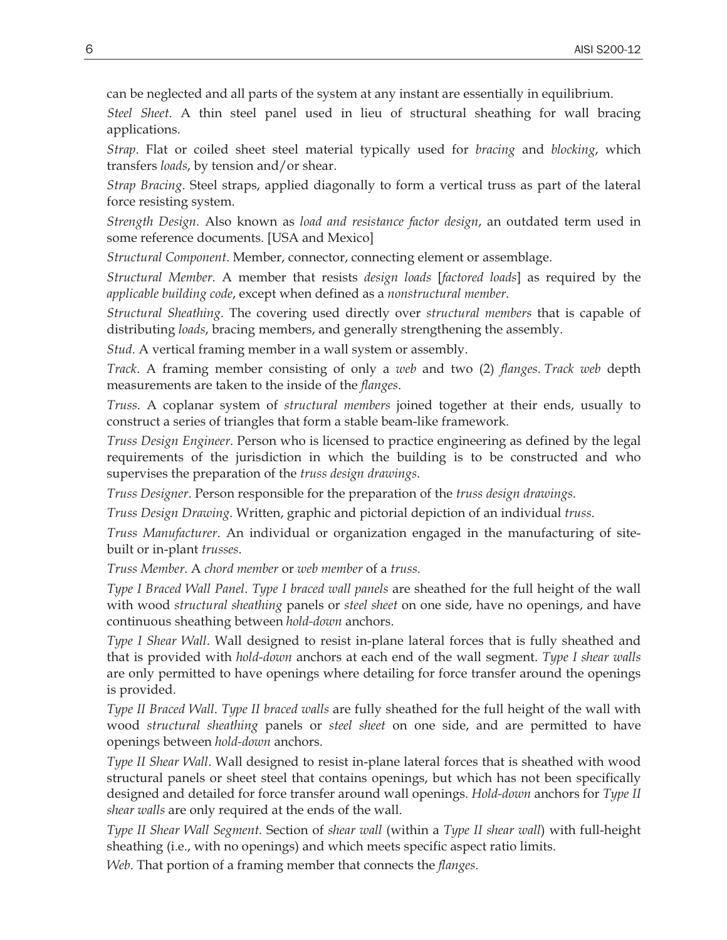can be neglected and all parts of the system at any instant are essentially in equilibrium.

*Steel Sheet*. A thin steel panel used in lieu of structural sheathing for wall bracing applications.

*Strap*. Flat or coiled sheet steel material typically used for *bracing* and *blocking*, which transfers *loads*, by tension and/or shear.

*Strap Bracing*. Steel straps, applied diagonally to form a vertical truss as part of the lateral force resisting system.

*Strength Design.* Also known as *load and resistance factor design*, an outdated term used in some reference documents. [USA and Mexico]

*Structural Component*. Member, connector, connecting element or assemblage.

*Structural Member*. A member that resists *design loads* [*factored loads*] as required by the *applicable building code*, except when defined as a *nonstructural member*.

*Structural Sheathing*. The covering used directly over *structural members* that is capable of distributing *loads*, bracing members, and generally strengthening the assembly.

*Stud*. A vertical framing member in a wall system or assembly.

*Track*. A framing member consisting of only a *web* and two (2) *flanges*. *Track web* depth measurements are taken to the inside of the *flanges*.

*Truss*. A coplanar system of *structural members* joined together at their ends, usually to construct a series of triangles that form a stable beam-like framework.

*Truss Design Engineer*. Person who is licensed to practice engineering as defined by the legal requirements of the jurisdiction in which the building is to be constructed and who supervises the preparation of the *truss design drawings*.

*Truss Designer*. Person responsible for the preparation of the *truss design drawings*.

*Truss Design Drawing*. Written, graphic and pictorial depiction of an individual *truss*.

*Truss Manufacturer*. An individual or organization engaged in the manufacturing of sitebuilt or in-plant *trusses*.

*Truss Member*. A *chord member* or *web member* of a *truss*.

*Type I Braced Wall Panel*. *Type I braced wall panels* are sheathed for the full height of the wall with wood *structural sheathing* panels or *steel sheet* on one side, have no openings, and have continuous sheathing between *hold-down* anchors.

*Type I Shear Wall*. Wall designed to resist in-plane lateral forces that is fully sheathed and that is provided with *hold-down* anchors at each end of the wall segment. *Type I shear walls* are only permitted to have openings where detailing for force transfer around the openings is provided.

*Type II Braced Wall*. *Type II braced walls* are fully sheathed for the full height of the wall with wood *structural sheathing* panels or *steel sheet* on one side, and are permitted to have openings between *hold-down* anchors.

*Type II Shear Wall*. Wall designed to resist in-plane lateral forces that is sheathed with wood structural panels or sheet steel that contains openings, but which has not been specifically designed and detailed for force transfer around wall openings. *Hold-down* anchors for *Type II shear walls* are only required at the ends of the wall.

 *Type II Shear Wall Segment.* Section of *shear wall* (within a *Type II shear wall*) with full-height sheathing (i.e., with no openings) and which meets specific aspect ratio limits.

*Web*. That portion of a framing member that connects the *flanges*.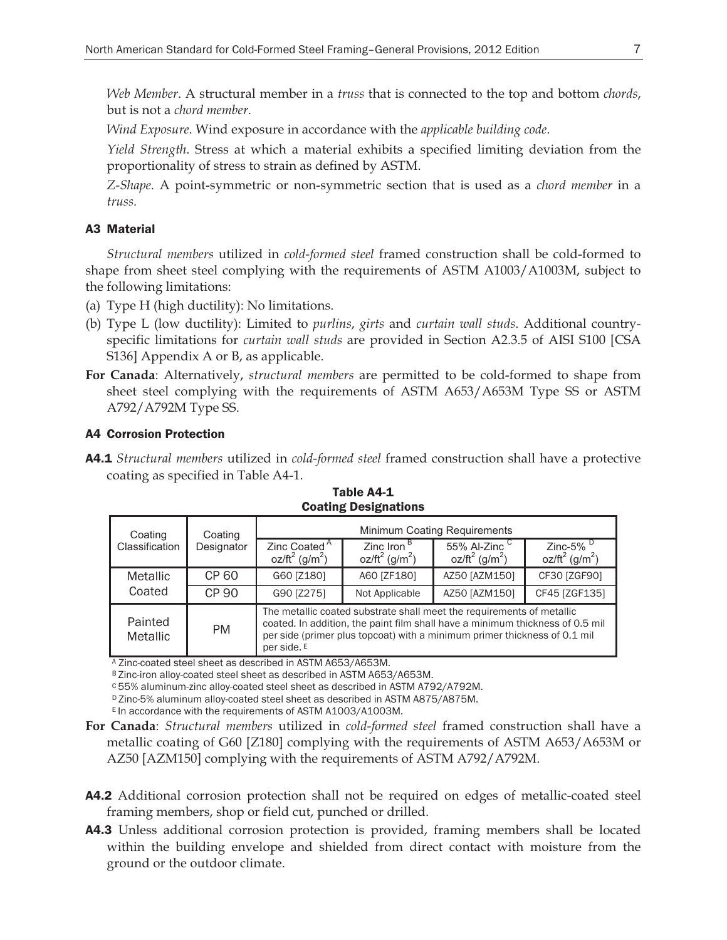*Web Member*. A structural member in a *truss* that is connected to the top and bottom *chords*, but is not a *chord member*.

*Wind Exposure*. Wind exposure in accordance with the *applicable building code*.

*Yield Strength*. Stress at which a material exhibits a specified limiting deviation from the proportionality of stress to strain as defined by ASTM.

*Z-Shape*. A point-symmetric or non-symmetric section that is used as a *chord member* in a *truss*.

## A3 Material

*Structural members* utilized in *cold-formed steel* framed construction shall be cold-formed to shape from sheet steel complying with the requirements of ASTM A1003/A1003M, subject to the following limitations:

- (a) Type H (high ductility): No limitations.
- (b) Type L (low ductility): Limited to *purlins*, *girts* and *curtain wall studs*. Additional countryspecific limitations for *curtain wall studs* are provided in Section A2.3.5 of AISI S100 [CSA S136] Appendix A or B, as applicable.
- **For Canada**: Alternatively, *structural members* are permitted to be cold-formed to shape from sheet steel complying with the requirements of ASTM A653/A653M Type SS or ASTM A792/A792M Type SS.

## A4 Corrosion Protection

A4.1 *Structural members* utilized in *cold-formed steel* framed construction shall have a protective coating as specified in Table A4-1.

| Coating             | Coating    | Minimum Coating Requirements                                                                                                                                                                                                                                  |                                                         |                                                           |                                              |
|---------------------|------------|---------------------------------------------------------------------------------------------------------------------------------------------------------------------------------------------------------------------------------------------------------------|---------------------------------------------------------|-----------------------------------------------------------|----------------------------------------------|
| Classification      | Designator | Zinc Coated <sup>A</sup><br>$oz/ft^2$ (g/m <sup>2</sup> )                                                                                                                                                                                                     | Zinc Iron <sup>B</sup><br>$oz/ft^2$ (g/m <sup>2</sup> ) | 55% Al-Zinc <sup>C</sup><br>$oz/ft^2$ (g/m <sup>2</sup> ) | Zinc-5% $D$<br>$oz/ft^2$ (g/m <sup>2</sup> ) |
| Metallic            | CP 60      | G60 [Z180]                                                                                                                                                                                                                                                    | A60 [ZF180]                                             | AZ50 [AZM150]                                             | CF30 [ZGF90]                                 |
| Coated              | CP 90      | G90 [Z275]                                                                                                                                                                                                                                                    | Not Applicable                                          | AZ50 [AZM150]                                             | CF45 [ZGF135]                                |
| Painted<br>Metallic | <b>PM</b>  | The metallic coated substrate shall meet the requirements of metallic<br>coated. In addition, the paint film shall have a minimum thickness of 0.5 mil<br>per side (primer plus topcoat) with a minimum primer thickness of 0.1 mil<br>per side. <sup>E</sup> |                                                         |                                                           |                                              |

Table A4-1 Coating Designations

A Zinc-coated steel sheet as described in ASTM A653/A653M.

B Zinc-iron alloy-coated steel sheet as described in ASTM A653/A653M.<br>C 55% aluminum-zinc alloy-coated steel sheet as described in ASTM A792/A792M.

D Zinc-5% aluminum alloy-coated steel sheet as described in ASTM A875/A875M.

E In accordance with the requirements of ASTM A1003/A1003M.

- **For Canada**: *Structural members* utilized in *cold-formed steel* framed construction shall have a metallic coating of G60 [Z180] complying with the requirements of ASTM A653/A653M or AZ50 [AZM150] complying with the requirements of ASTM A792/A792M.
- A4.2 Additional corrosion protection shall not be required on edges of metallic-coated steel framing members, shop or field cut, punched or drilled.
- A4.3 Unless additional corrosion protection is provided, framing members shall be located within the building envelope and shielded from direct contact with moisture from the ground or the outdoor climate.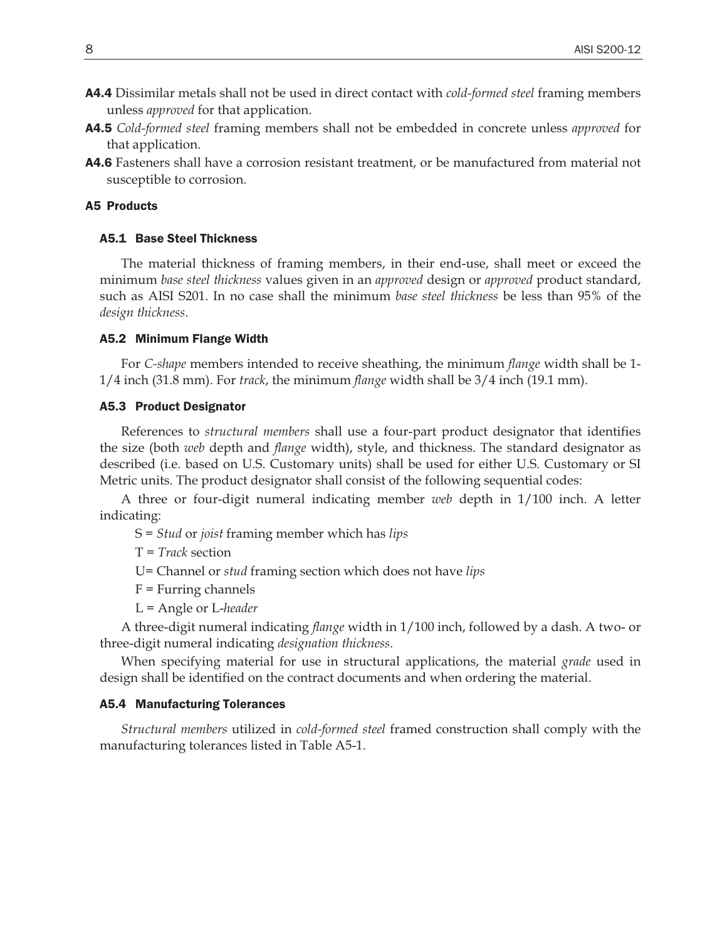- A4.4 Dissimilar metals shall not be used in direct contact with *cold-formed steel* framing members unless *approved* for that application.
- A4.5 *Cold-formed steel* framing members shall not be embedded in concrete unless *approved* for that application.
- A4.6 Fasteners shall have a corrosion resistant treatment, or be manufactured from material not susceptible to corrosion.

#### A5 Products

#### A5.1 Base Steel Thickness

The material thickness of framing members, in their end-use, shall meet or exceed the minimum *base steel thickness* values given in an *approved* design or *approved* product standard, such as AISI S201. In no case shall the minimum *base steel thickness* be less than 95% of the *design thickness*.

#### A5.2 Minimum Flange Width

For *C-shape* members intended to receive sheathing, the minimum *flange* width shall be 1- 1/4 inch (31.8 mm). For *track*, the minimum *flange* width shall be 3/4 inch (19.1 mm).

#### A5.3 Product Designator

References to *structural members* shall use a four-part product designator that identifies the size (both *web* depth and *flange* width), style, and thickness. The standard designator as described (i.e. based on U.S. Customary units) shall be used for either U.S. Customary or SI Metric units. The product designator shall consist of the following sequential codes:

A three or four-digit numeral indicating member *web* depth in 1/100 inch. A letter indicating:

S = *Stud* or *joist* framing member which has *lips*

T = *Track* section

- U= Channel or *stud* framing section which does not have *lips*
- $F =$  Furring channels
- L = Angle or L-*header*

A three-digit numeral indicating *flange* width in 1/100 inch, followed by a dash. A two- or three-digit numeral indicating *designation thickness*.

When specifying material for use in structural applications, the material *grade* used in design shall be identified on the contract documents and when ordering the material.

#### A5.4 Manufacturing Tolerances

*Structural members* utilized in *cold-formed steel* framed construction shall comply with the manufacturing tolerances listed in Table A5-1.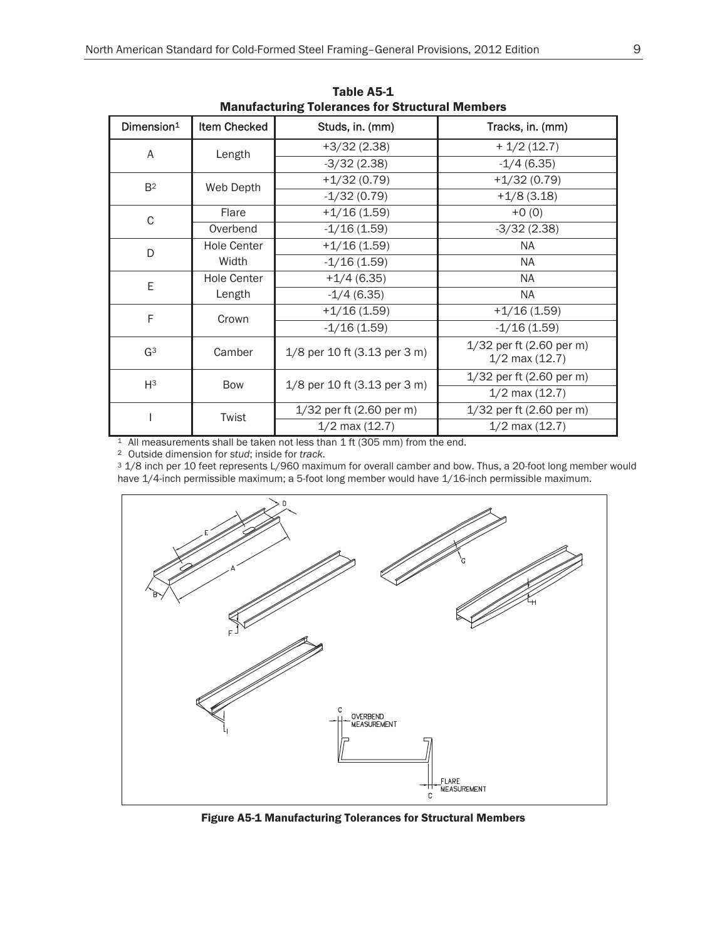| Dimension <sup>1</sup> | <b>Item Checked</b> | Studs, in. (mm)                | Tracks, in. (mm)                               |
|------------------------|---------------------|--------------------------------|------------------------------------------------|
| A                      |                     | $+3/32(2.38)$                  | $+1/2(12.7)$                                   |
|                        | Length              | $-3/32(2.38)$                  | $-1/4(6.35)$                                   |
| B <sup>2</sup>         | Web Depth           | $+1/32(0.79)$                  | $+1/32(0.79)$                                  |
|                        |                     | $-1/32(0.79)$                  | $+1/8$ (3.18)                                  |
| C                      | Flare               | $+1/16(1.59)$                  | $+0(0)$                                        |
|                        | Overbend            | $-1/16(1.59)$                  | $-3/32(2.38)$                                  |
| D                      | <b>Hole Center</b>  | $+1/16(1.59)$                  | <b>NA</b>                                      |
|                        | Width               | $-1/16(1.59)$                  | NA.                                            |
| Ε                      | <b>Hole Center</b>  | $+1/4(6.35)$                   | <b>NA</b>                                      |
|                        | Length              | $-1/4(6.35)$                   | <b>NA</b>                                      |
| F                      | Crown               | $+1/16(1.59)$                  | $+1/16(1.59)$                                  |
|                        |                     | $-1/16(1.59)$                  | $-1/16(1.59)$                                  |
| G <sup>3</sup>         | Camber              | $1/8$ per 10 ft (3.13 per 3 m) | 1/32 per ft (2.60 per m)<br>$1/2$ max $(12.7)$ |
| H <sup>3</sup>         | Bow                 | 1/8 per 10 ft (3.13 per 3 m)   | $1/32$ per ft (2.60 per m)                     |
|                        |                     |                                | $1/2$ max $(12.7)$                             |
|                        | Twist               | $1/32$ per ft (2.60 per m)     | 1/32 per ft (2.60 per m)                       |
|                        |                     | $1/2$ max $(12.7)$             | $1/2$ max $(12.7)$                             |

Table A5-1 Manufacturing Tolerances for Structural Members

<sup>1</sup> All measurements shall be taken not less than  $1 \text{ ft}$  (305 mm) from the end.<br><sup>2</sup> Outside dimension for stud; inside for track.

<sup>3</sup> 1/8 inch per 10 feet represents L/960 maximum for overall camber and bow. Thus, a 20-foot long member would have 1/4-inch permissible maximum; a 5-foot long member would have 1/16-inch permissible maximum.



Figure A5-1 Manufacturing Tolerances for Structural Members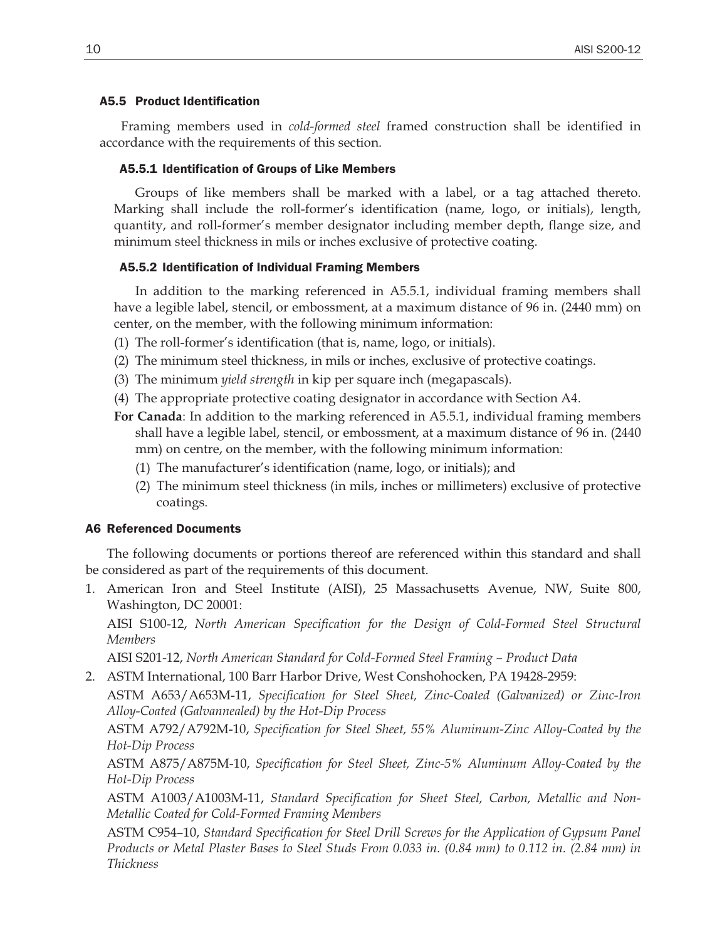#### A5.5 Product Identification

Framing members used in *cold-formed steel* framed construction shall be identified in accordance with the requirements of this section.

#### A5.5.1 Identification of Groups of Like Members

Groups of like members shall be marked with a label, or a tag attached thereto. Marking shall include the roll-former's identification (name, logo, or initials), length, quantity, and roll-former's member designator including member depth, flange size, and minimum steel thickness in mils or inches exclusive of protective coating.

#### A5.5.2 Identification of Individual Framing Members

In addition to the marking referenced in A5.5.1, individual framing members shall have a legible label, stencil, or embossment, at a maximum distance of 96 in. (2440 mm) on center, on the member, with the following minimum information:

- (1) The roll-former's identification (that is, name, logo, or initials).
- (2) The minimum steel thickness, in mils or inches, exclusive of protective coatings.
- (3) The minimum *yield strength* in kip per square inch (megapascals).
- (4) The appropriate protective coating designator in accordance with Section A4.
- **For Canada**: In addition to the marking referenced in A5.5.1, individual framing members shall have a legible label, stencil, or embossment, at a maximum distance of 96 in. (2440 mm) on centre, on the member, with the following minimum information:
	- (1) The manufacturer's identification (name, logo, or initials); and
	- (2) The minimum steel thickness (in mils, inches or millimeters) exclusive of protective coatings.

#### A6 Referenced Documents

The following documents or portions thereof are referenced within this standard and shall be considered as part of the requirements of this document.

1. American Iron and Steel Institute (AISI), 25 Massachusetts Avenue, NW, Suite 800, Washington, DC 20001:

 AISI S100-12, *North American Specification for the Design of Cold-Formed Steel Structural Members*

AISI S201-12, *North American Standard for Cold-Formed Steel Framing – Product Data*

2. ASTM International, 100 Barr Harbor Drive, West Conshohocken, PA 19428-2959:

 ASTM A653/A653M-11, *Specification for Steel Sheet, Zinc-Coated (Galvanized) or Zinc-Iron Alloy-Coated (Galvannealed) by the Hot-Dip Process*

 ASTM A792/A792M-10, *Specification for Steel Sheet, 55% Aluminum-Zinc Alloy-Coated by the Hot-Dip Process*

 ASTM A875/A875M-10, *Specification for Steel Sheet, Zinc-5% Aluminum Alloy-Coated by the Hot-Dip Process*

 ASTM A1003/A1003M-11, *Standard Specification for Sheet Steel, Carbon, Metallic and Non-Metallic Coated for Cold-Formed Framing Members*

 ASTM C954–10, *Standard Specification for Steel Drill Screws for the Application of Gypsum Panel Products or Metal Plaster Bases to Steel Studs From 0.033 in. (0.84 mm) to 0.112 in. (2.84 mm) in Thickness*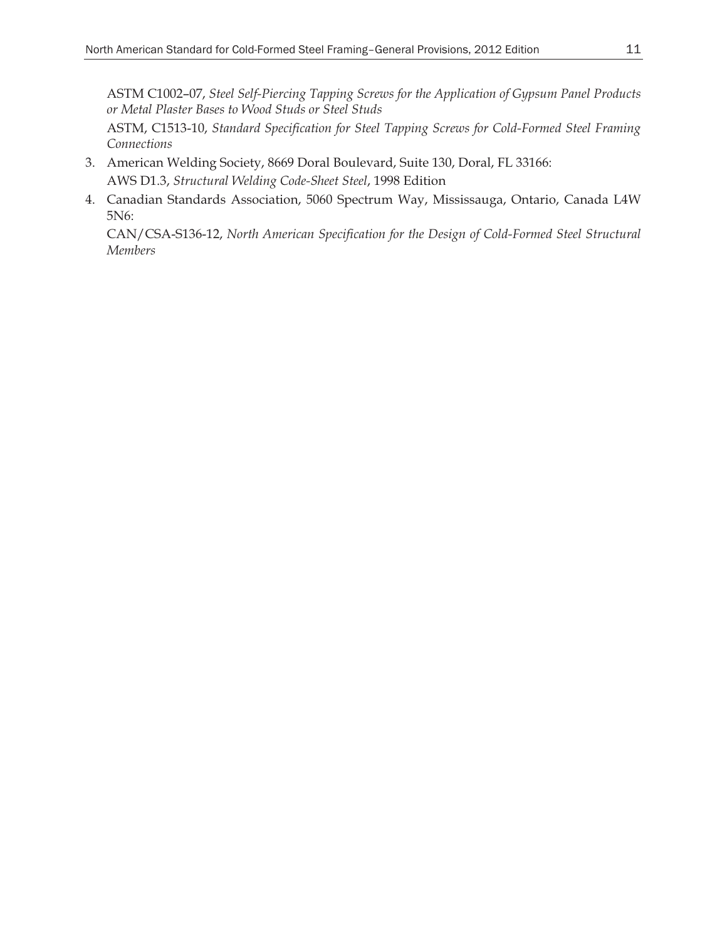ASTM C1002–07, *Steel Self-Piercing Tapping Screws for the Application of Gypsum Panel Products or Metal Plaster Bases to Wood Studs or Steel Studs* ASTM, C1513-10, *Standard Specification for Steel Tapping Screws for Cold-Formed Steel Framing Connections*

- 3. American Welding Society, 8669 Doral Boulevard, Suite 130, Doral, FL 33166: AWS D1.3, *Structural Welding Code-Sheet Steel*, 1998 Edition
- 4. Canadian Standards Association, 5060 Spectrum Way, Mississauga, Ontario, Canada L4W 5N6:

 CAN/CSA-S136-12, *North American Specification for the Design of Cold-Formed Steel Structural Members*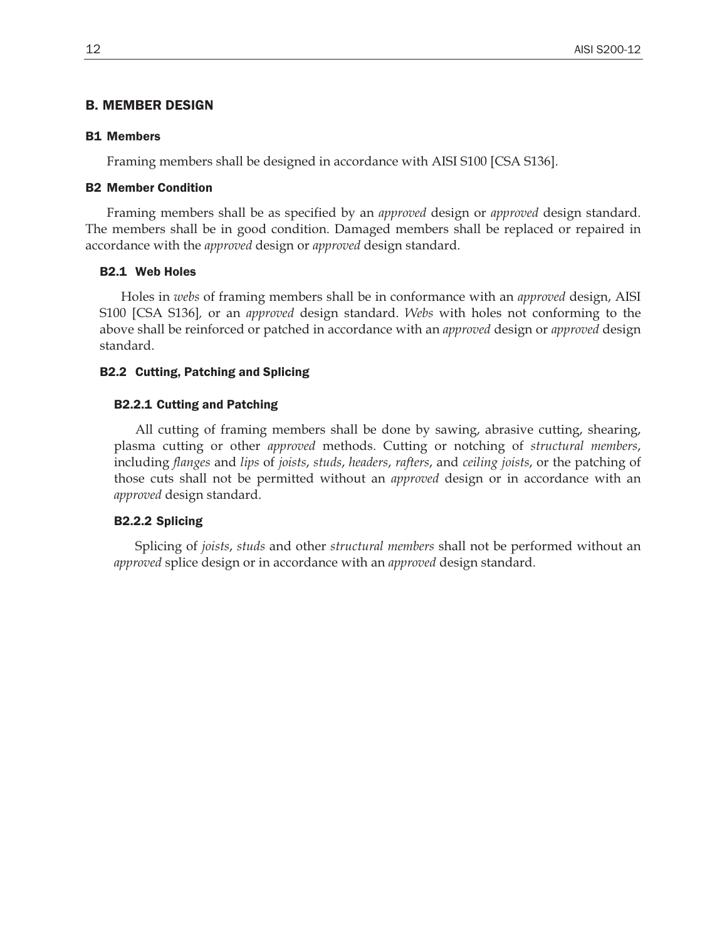## B. MEMBER DESIGN

## B1 Members

Framing members shall be designed in accordance with AISI S100 [CSA S136].

#### B2 Member Condition

Framing members shall be as specified by an *approved* design or *approved* design standard. The members shall be in good condition. Damaged members shall be replaced or repaired in accordance with the *approved* design or *approved* design standard.

#### B2.1 Web Holes

Holes in *webs* of framing members shall be in conformance with an *approved* design, AISI S100 [CSA S136]*,* or an *approved* design standard. *Webs* with holes not conforming to the above shall be reinforced or patched in accordance with an *approved* design or *approved* design standard.

#### B2.2 Cutting, Patching and Splicing

#### B2.2.1 Cutting and Patching

All cutting of framing members shall be done by sawing, abrasive cutting, shearing, plasma cutting or other *approved* methods. Cutting or notching of *structural members*, including *flanges* and *lips* of *joists*, *studs*, *headers*, *rafters*, and *ceiling joists*, or the patching of those cuts shall not be permitted without an *approved* design or in accordance with an *approved* design standard.

#### B2.2.2 Splicing

Splicing of *joists*, *studs* and other *structural members* shall not be performed without an *approved* splice design or in accordance with an *approved* design standard.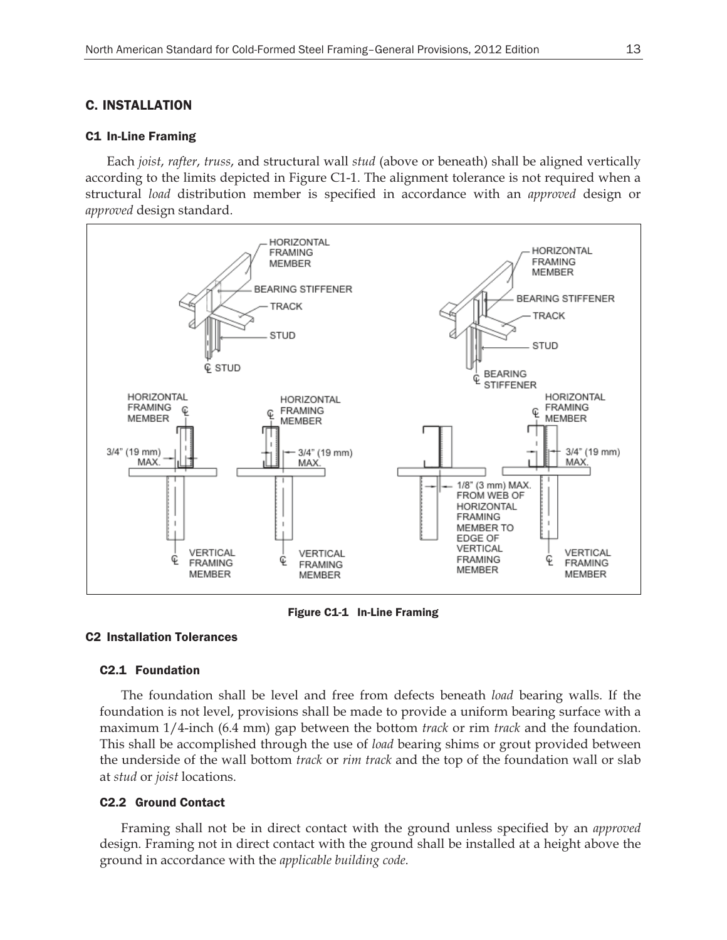## C. INSTALLATION

#### C1 In-Line Framing

Each *joist*, *rafter*, *truss*, and structural wall *stud* (above or beneath) shall be aligned vertically according to the limits depicted in Figure C1-1. The alignment tolerance is not required when a structural *load* distribution member is specified in accordance with an *approved* design or *approved* design standard.



Figure C1-1 In-Line Framing

#### C2 Installation Tolerances

#### C2.1 Foundation

The foundation shall be level and free from defects beneath *load* bearing walls. If the foundation is not level, provisions shall be made to provide a uniform bearing surface with a maximum 1/4-inch (6.4 mm) gap between the bottom *track* or rim *track* and the foundation. This shall be accomplished through the use of *load* bearing shims or grout provided between the underside of the wall bottom *track* or *rim track* and the top of the foundation wall or slab at *stud* or *joist* locations.

#### C2.2 Ground Contact

Framing shall not be in direct contact with the ground unless specified by an *approved* design. Framing not in direct contact with the ground shall be installed at a height above the ground in accordance with the *applicable building code*.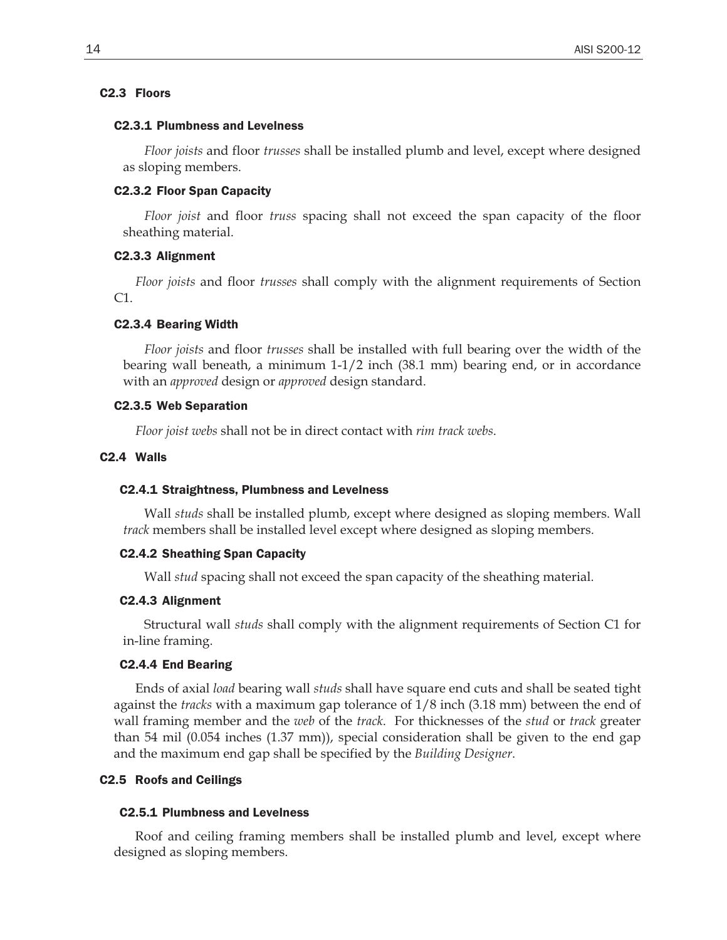## C2.3 Floors

#### C2.3.1 Plumbness and Levelness

*Floor joists* and floor *trusses* shall be installed plumb and level, except where designed as sloping members.

#### C2.3.2 Floor Span Capacity

*Floor joist* and floor *truss* spacing shall not exceed the span capacity of the floor sheathing material.

#### C2.3.3 Alignment

*Floor joists* and floor *trusses* shall comply with the alignment requirements of Section C1.

#### C2.3.4 Bearing Width

*Floor joists* and floor *trusses* shall be installed with full bearing over the width of the bearing wall beneath, a minimum 1-1/2 inch (38.1 mm) bearing end, or in accordance with an *approved* design or *approved* design standard.

#### C2.3.5 Web Separation

*Floor joist webs* shall not be in direct contact with *rim track webs*.

#### C2.4 Walls

#### C2.4.1 Straightness, Plumbness and Levelness

Wall *studs* shall be installed plumb, except where designed as sloping members. Wall *track* members shall be installed level except where designed as sloping members.

#### C2.4.2 Sheathing Span Capacity

Wall *stud* spacing shall not exceed the span capacity of the sheathing material.

#### C2.4.3 Alignment

Structural wall *studs* shall comply with the alignment requirements of Section C1 for in-line framing.

### C2.4.4 End Bearing

Ends of axial *load* bearing wall *studs* shall have square end cuts and shall be seated tight against the *tracks* with a maximum gap tolerance of 1/8 inch (3.18 mm) between the end of wall framing member and the *web* of the *track*. For thicknesses of the *stud* or *track* greater than 54 mil (0.054 inches (1.37 mm)), special consideration shall be given to the end gap and the maximum end gap shall be specified by the *Building Designer*.

#### C2.5 Roofs and Ceilings

#### C2.5.1 Plumbness and Levelness

Roof and ceiling framing members shall be installed plumb and level, except where designed as sloping members.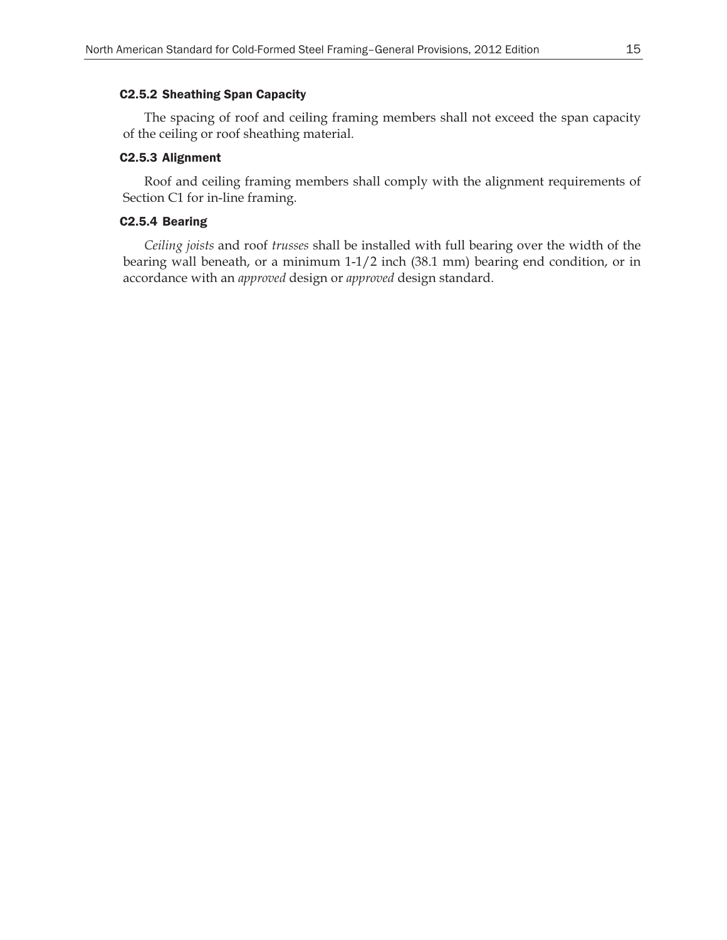## C2.5.2 Sheathing Span Capacity

The spacing of roof and ceiling framing members shall not exceed the span capacity of the ceiling or roof sheathing material.

## C2.5.3 Alignment

Roof and ceiling framing members shall comply with the alignment requirements of Section C1 for in-line framing.

## C2.5.4 Bearing

*Ceiling joists* and roof *trusses* shall be installed with full bearing over the width of the bearing wall beneath, or a minimum 1-1/2 inch (38.1 mm) bearing end condition, or in accordance with an *approved* design or *approved* design standard.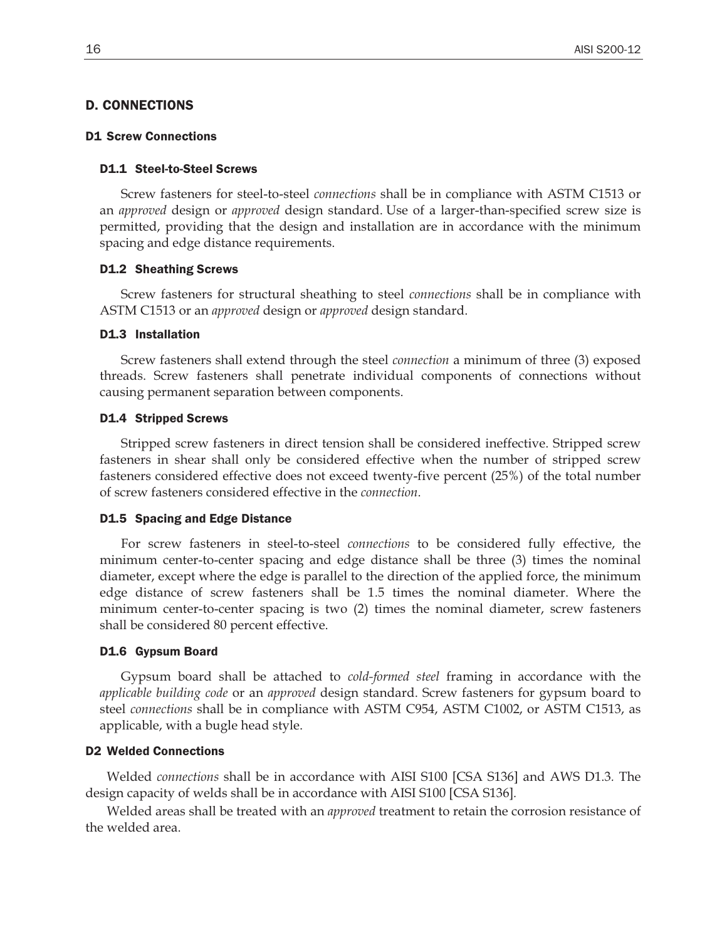## D. CONNECTIONS

#### D1 Screw Connections

#### D1.1 Steel-to-Steel Screws

Screw fasteners for steel-to-steel *connections* shall be in compliance with ASTM C1513 or an *approved* design or *approved* design standard. Use of a larger-than-specified screw size is permitted, providing that the design and installation are in accordance with the minimum spacing and edge distance requirements.

#### D1.2 Sheathing Screws

Screw fasteners for structural sheathing to steel *connections* shall be in compliance with ASTM C1513 or an *approved* design or *approved* design standard.

#### D1.3 Installation

Screw fasteners shall extend through the steel *connection* a minimum of three (3) exposed threads. Screw fasteners shall penetrate individual components of connections without causing permanent separation between components.

#### D1.4 Stripped Screws

Stripped screw fasteners in direct tension shall be considered ineffective. Stripped screw fasteners in shear shall only be considered effective when the number of stripped screw fasteners considered effective does not exceed twenty-five percent (25%) of the total number of screw fasteners considered effective in the *connection*.

#### D1.5 Spacing and Edge Distance

For screw fasteners in steel-to-steel *connections* to be considered fully effective, the minimum center-to-center spacing and edge distance shall be three (3) times the nominal diameter, except where the edge is parallel to the direction of the applied force, the minimum edge distance of screw fasteners shall be 1.5 times the nominal diameter. Where the minimum center-to-center spacing is two (2) times the nominal diameter, screw fasteners shall be considered 80 percent effective.

### D1.6 Gypsum Board

Gypsum board shall be attached to *cold-formed steel* framing in accordance with the *applicable building code* or an *approved* design standard. Screw fasteners for gypsum board to steel *connections* shall be in compliance with ASTM C954, ASTM C1002, or ASTM C1513, as applicable, with a bugle head style.

#### D2 Welded Connections

Welded *connections* shall be in accordance with AISI S100 [CSA S136] and AWS D1.3*.* The design capacity of welds shall be in accordance with AISI S100 [CSA S136]*.*

Welded areas shall be treated with an *approved* treatment to retain the corrosion resistance of the welded area.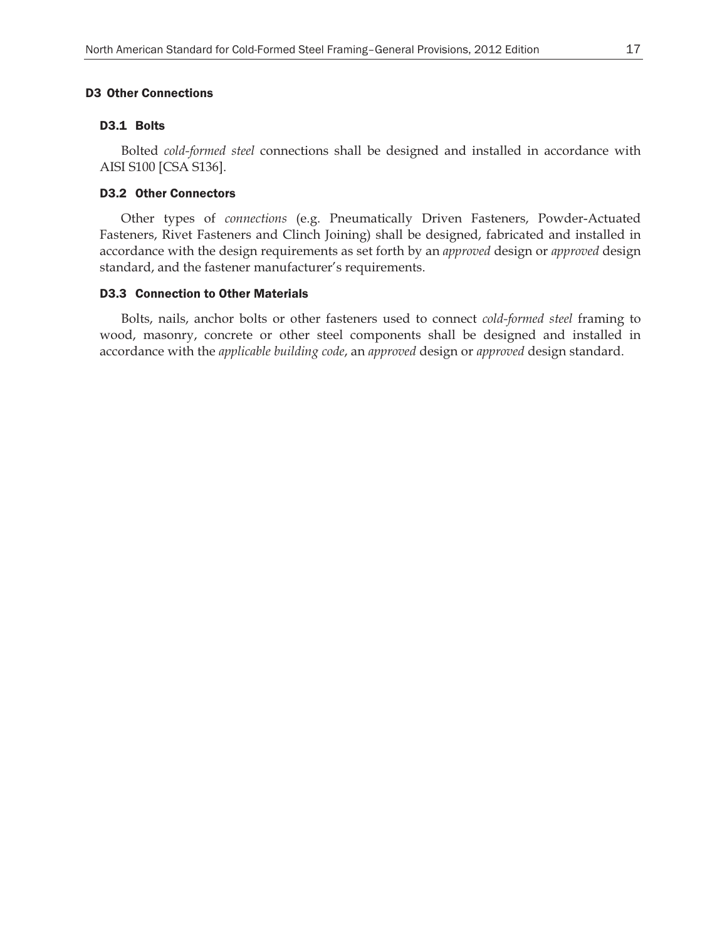### D3 Other Connections

#### D3.1 Bolts

Bolted *cold-formed steel* connections shall be designed and installed in accordance with AISI S100 [CSA S136].

#### D3.2 Other Connectors

Other types of *connections* (e.g. Pneumatically Driven Fasteners, Powder-Actuated Fasteners, Rivet Fasteners and Clinch Joining) shall be designed, fabricated and installed in accordance with the design requirements as set forth by an *approved* design or *approved* design standard, and the fastener manufacturer's requirements.

#### D3.3 Connection to Other Materials

Bolts, nails, anchor bolts or other fasteners used to connect *cold-formed steel* framing to wood, masonry, concrete or other steel components shall be designed and installed in accordance with the *applicable building code*, an *approved* design or *approved* design standard.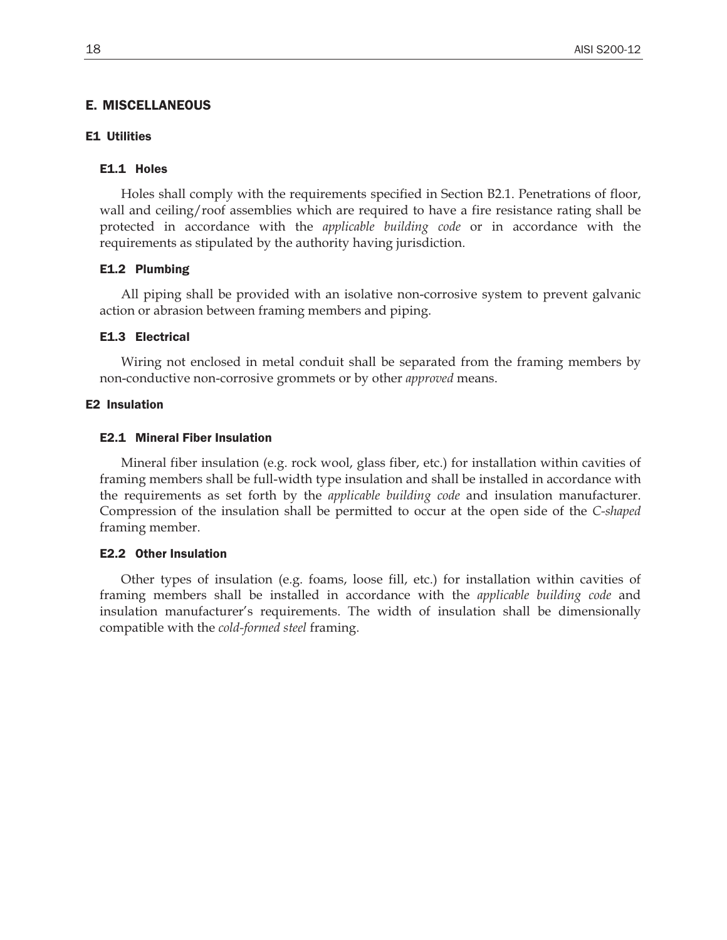## E. MISCELLANEOUS

## E1 Utilities

#### E1.1 Holes

Holes shall comply with the requirements specified in Section B2.1. Penetrations of floor, wall and ceiling/roof assemblies which are required to have a fire resistance rating shall be protected in accordance with the *applicable building code* or in accordance with the requirements as stipulated by the authority having jurisdiction.

#### E1.2 Plumbing

All piping shall be provided with an isolative non-corrosive system to prevent galvanic action or abrasion between framing members and piping.

#### E1.3 Electrical

Wiring not enclosed in metal conduit shall be separated from the framing members by non-conductive non-corrosive grommets or by other *approved* means.

#### E2 Insulation

#### E2.1 Mineral Fiber Insulation

Mineral fiber insulation (e.g. rock wool, glass fiber, etc.) for installation within cavities of framing members shall be full-width type insulation and shall be installed in accordance with the requirements as set forth by the *applicable building code* and insulation manufacturer. Compression of the insulation shall be permitted to occur at the open side of the *C-shaped* framing member.

#### E2.2 Other Insulation

Other types of insulation (e.g. foams, loose fill, etc.) for installation within cavities of framing members shall be installed in accordance with the *applicable building code* and insulation manufacturer's requirements. The width of insulation shall be dimensionally compatible with the *cold-formed steel* framing.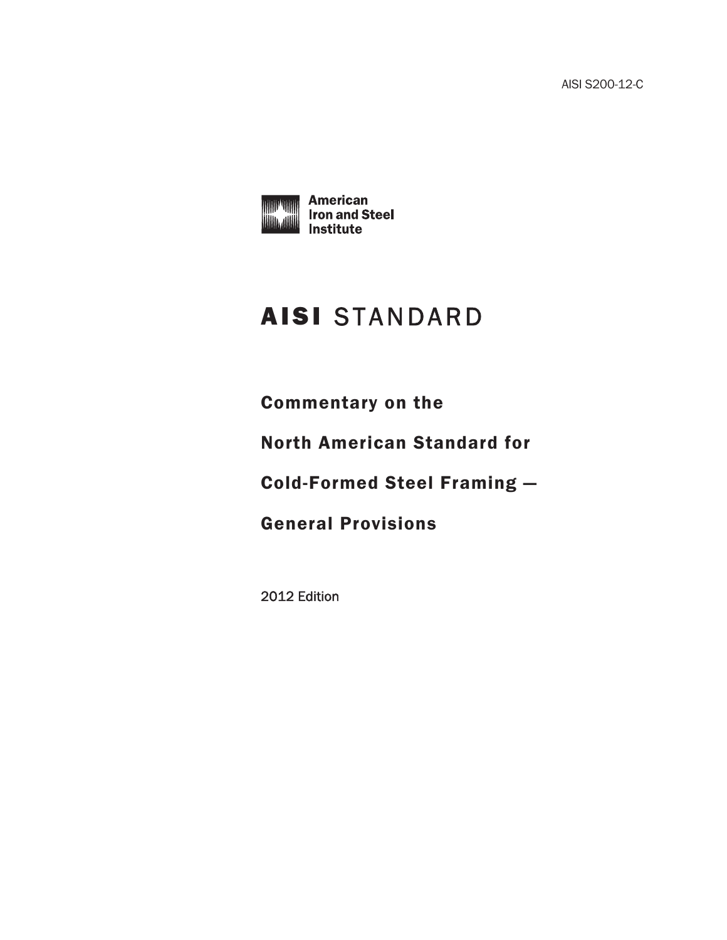AISI S200-12-C



# **AISI** STANDARD

Commentary on the

North American Standard for

Cold-Formed Steel Framing —

General Provisions

2012 Edition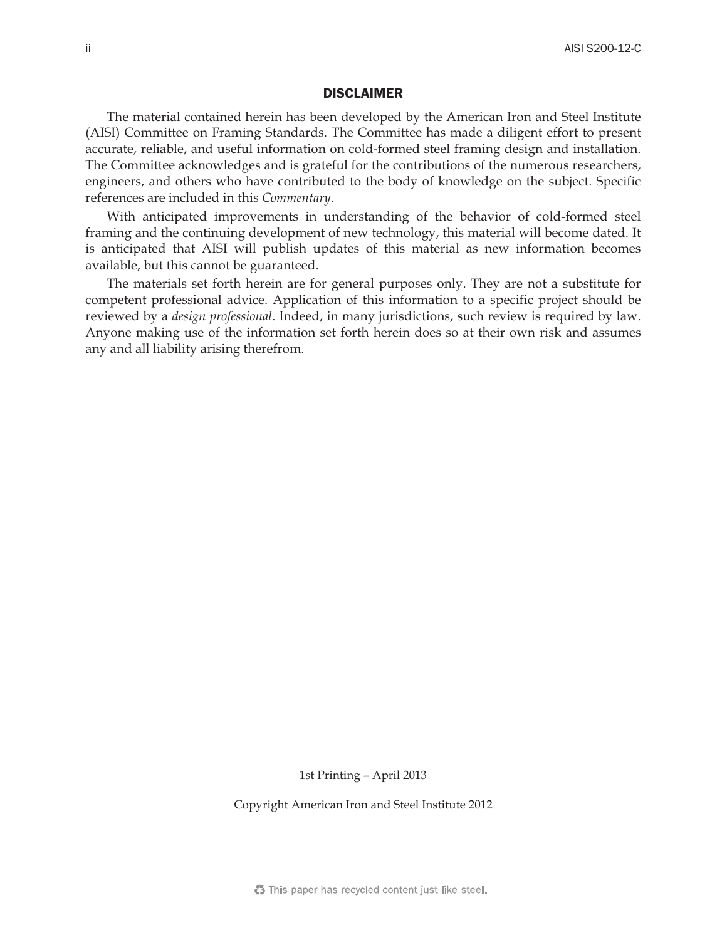## DISCLAIMER

The material contained herein has been developed by the American Iron and Steel Institute (AISI) Committee on Framing Standards. The Committee has made a diligent effort to present accurate, reliable, and useful information on cold-formed steel framing design and installation. The Committee acknowledges and is grateful for the contributions of the numerous researchers, engineers, and others who have contributed to the body of knowledge on the subject. Specific references are included in this *Commentary*.

With anticipated improvements in understanding of the behavior of cold-formed steel framing and the continuing development of new technology, this material will become dated. It is anticipated that AISI will publish updates of this material as new information becomes available, but this cannot be guaranteed.

The materials set forth herein are for general purposes only. They are not a substitute for competent professional advice. Application of this information to a specific project should be reviewed by a *design professional*. Indeed, in many jurisdictions, such review is required by law. Anyone making use of the information set forth herein does so at their own risk and assumes any and all liability arising therefrom.

1st Printing – April 2013

Copyright American Iron and Steel Institute 2012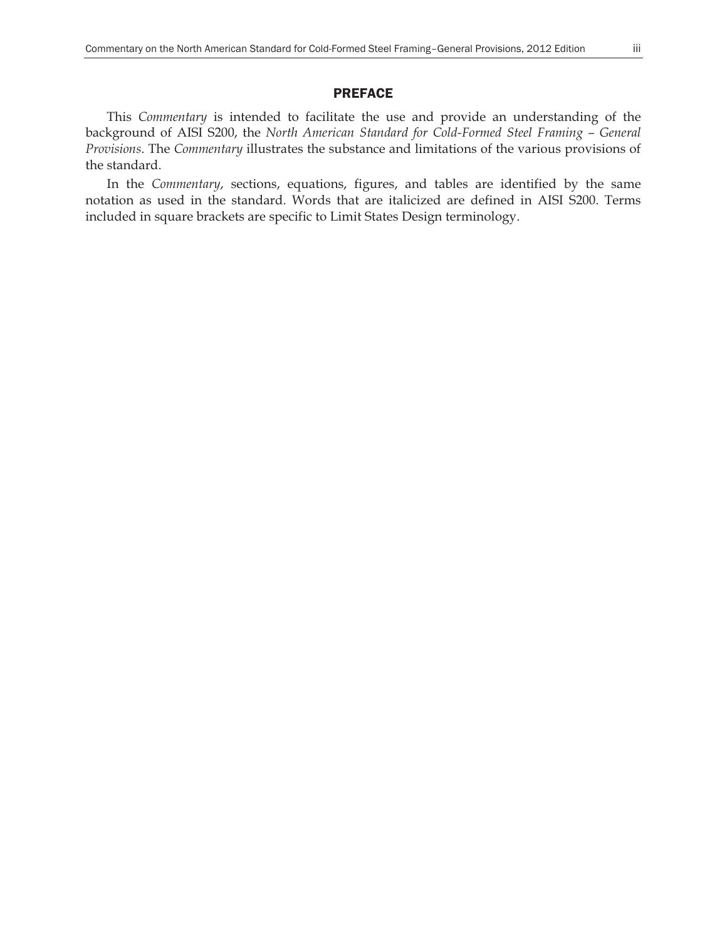## PREFACE

This *Commentary* is intended to facilitate the use and provide an understanding of the background of AISI S200, the *North American Standard for Cold-Formed Steel Framing – General Provisions*. The *Commentary* illustrates the substance and limitations of the various provisions of the standard.

In the *Commentary*, sections, equations, figures, and tables are identified by the same notation as used in the standard. Words that are italicized are defined in AISI S200. Terms included in square brackets are specific to Limit States Design terminology.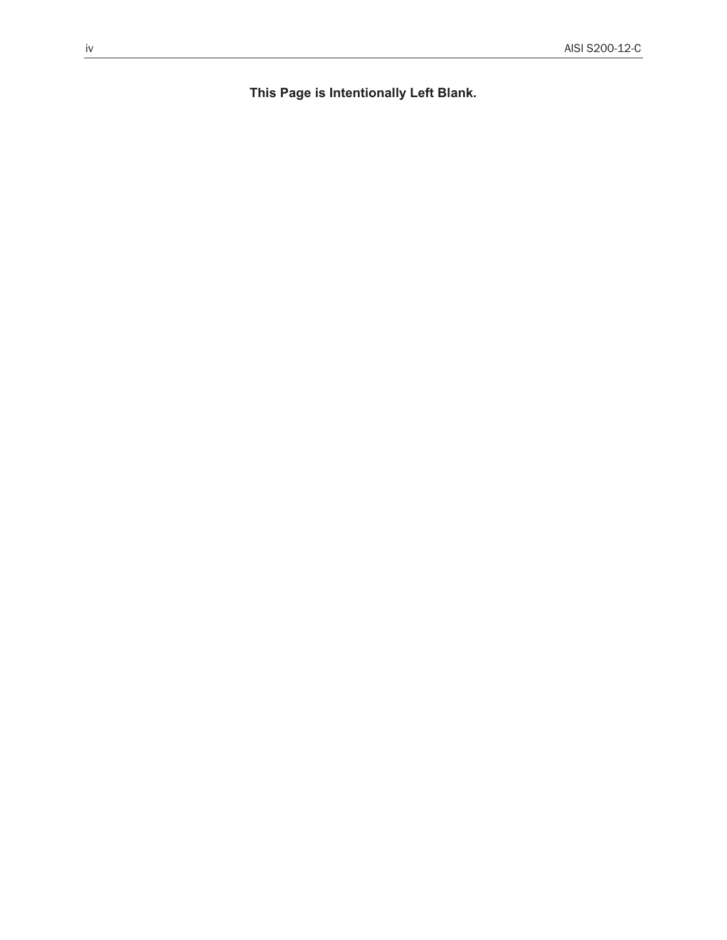**This Page is Intentionally Left Blank.**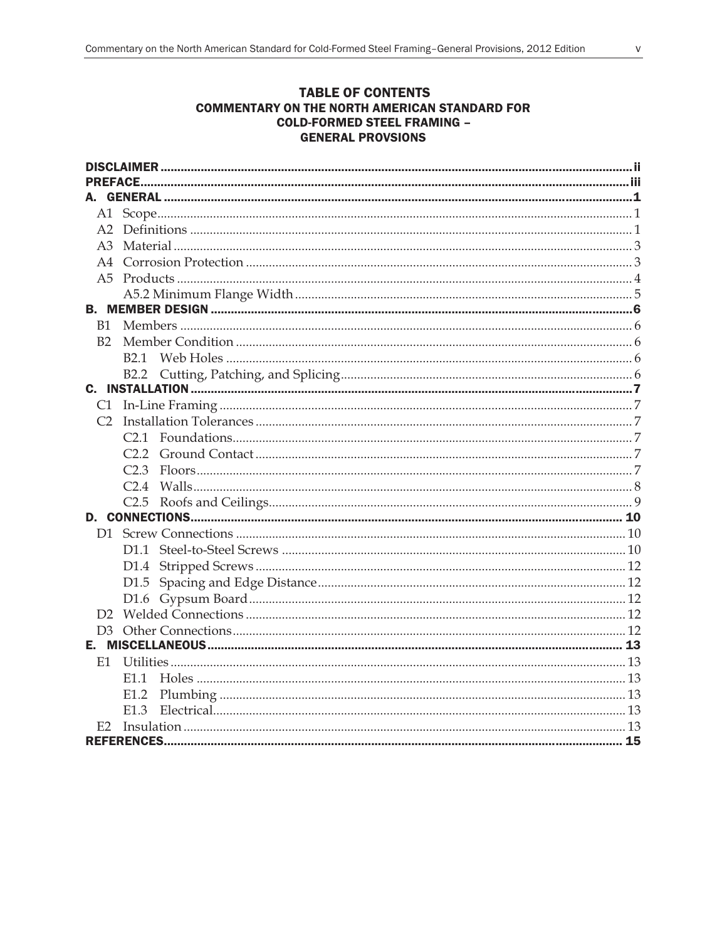## **TABLE OF CONTENTS COMMENTARY ON THE NORTH AMERICAN STANDARD FOR COLD-FORMED STEEL FRAMING -GENERAL PROVSIONS**

| B2  |                   |  |
|-----|-------------------|--|
|     |                   |  |
|     |                   |  |
|     |                   |  |
|     |                   |  |
|     |                   |  |
|     |                   |  |
|     |                   |  |
|     |                   |  |
|     |                   |  |
|     | C2.5              |  |
|     |                   |  |
|     |                   |  |
|     |                   |  |
|     |                   |  |
|     | D <sub>1.5</sub>  |  |
|     |                   |  |
|     |                   |  |
|     |                   |  |
|     |                   |  |
| F.1 |                   |  |
|     | E1 1              |  |
|     | E <sub>1.2</sub>  |  |
|     | F <sub>1</sub> .3 |  |
| E2  |                   |  |
|     |                   |  |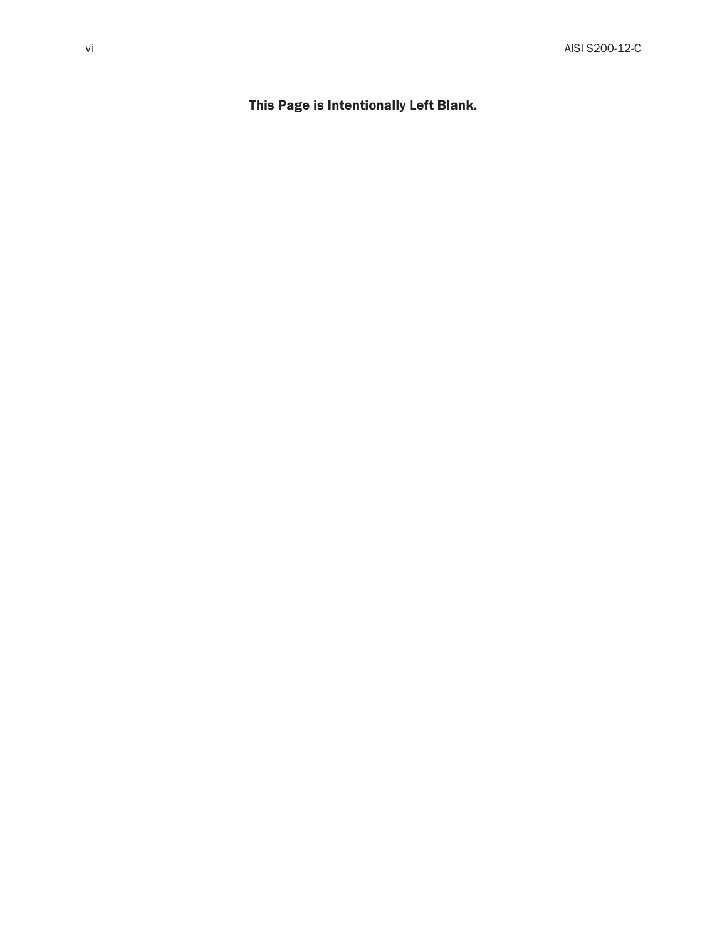This Page is Intentionally Left Blank.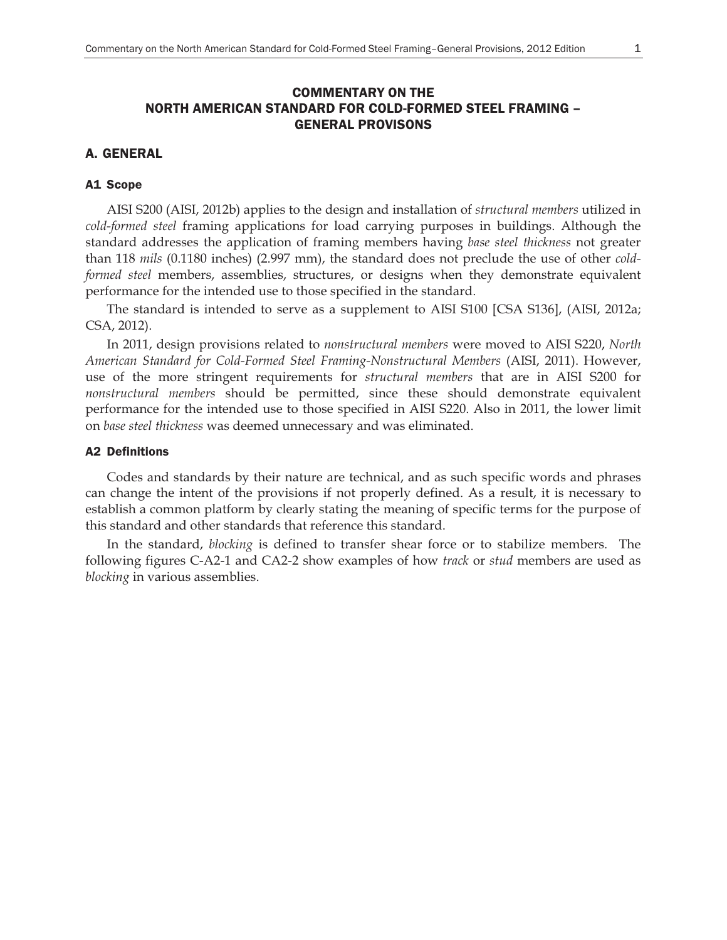## COMMENTARY ON THE NORTH AMERICAN STANDARD FOR COLD-FORMED STEEL FRAMING – GENERAL PROVISONS

## A. GENERAL

## A1 Scope

AISI S200 (AISI, 2012b) applies to the design and installation of *structural members* utilized in *cold-formed steel* framing applications for load carrying purposes in buildings. Although the standard addresses the application of framing members having *base steel thickness* not greater than 118 *mils* (0.1180 inches) (2.997 mm), the standard does not preclude the use of other *coldformed steel* members, assemblies, structures, or designs when they demonstrate equivalent performance for the intended use to those specified in the standard.

The standard is intended to serve as a supplement to AISI S100 [CSA S136], (AISI, 2012a; CSA, 2012).

In 2011, design provisions related to *nonstructural members* were moved to AISI S220, *North American Standard for Cold-Formed Steel Framing-Nonstructural Members* (AISI, 2011). However, use of the more stringent requirements for *structural members* that are in AISI S200 for *nonstructural members* should be permitted, since these should demonstrate equivalent performance for the intended use to those specified in AISI S220. Also in 2011, the lower limit on *base steel thickness* was deemed unnecessary and was eliminated.

## A2 Definitions

Codes and standards by their nature are technical, and as such specific words and phrases can change the intent of the provisions if not properly defined. As a result, it is necessary to establish a common platform by clearly stating the meaning of specific terms for the purpose of this standard and other standards that reference this standard.

In the standard, *blocking* is defined to transfer shear force or to stabilize members. The following figures C-A2-1 and CA2-2 show examples of how *track* or *stud* members are used as *blocking* in various assemblies.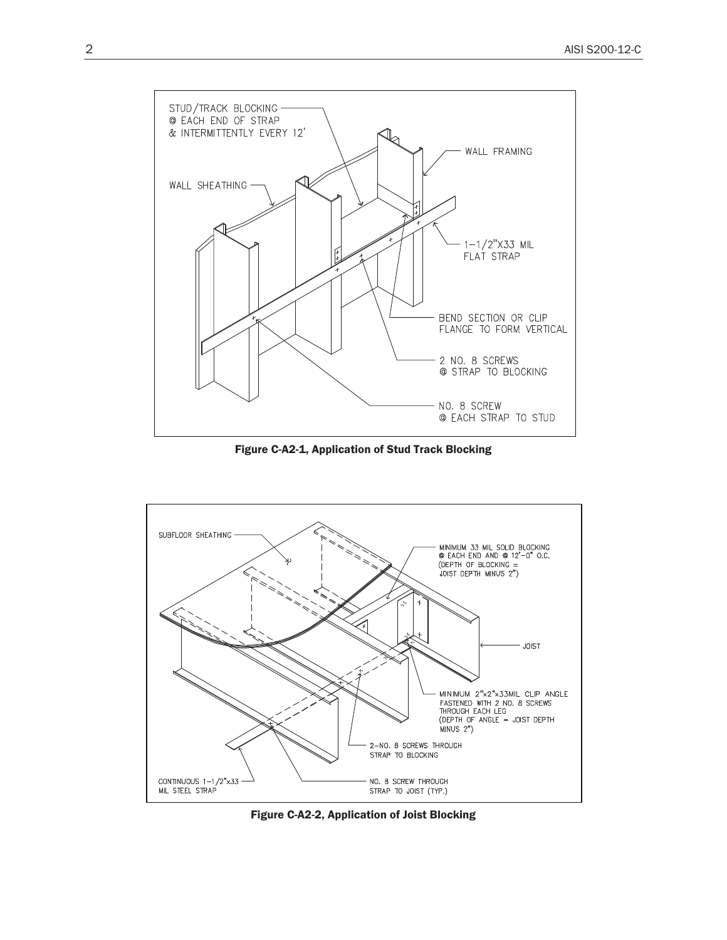

Figure C-A2-1, Application of Stud Track Blocking



Figure C-A2-2, Application of Joist Blocking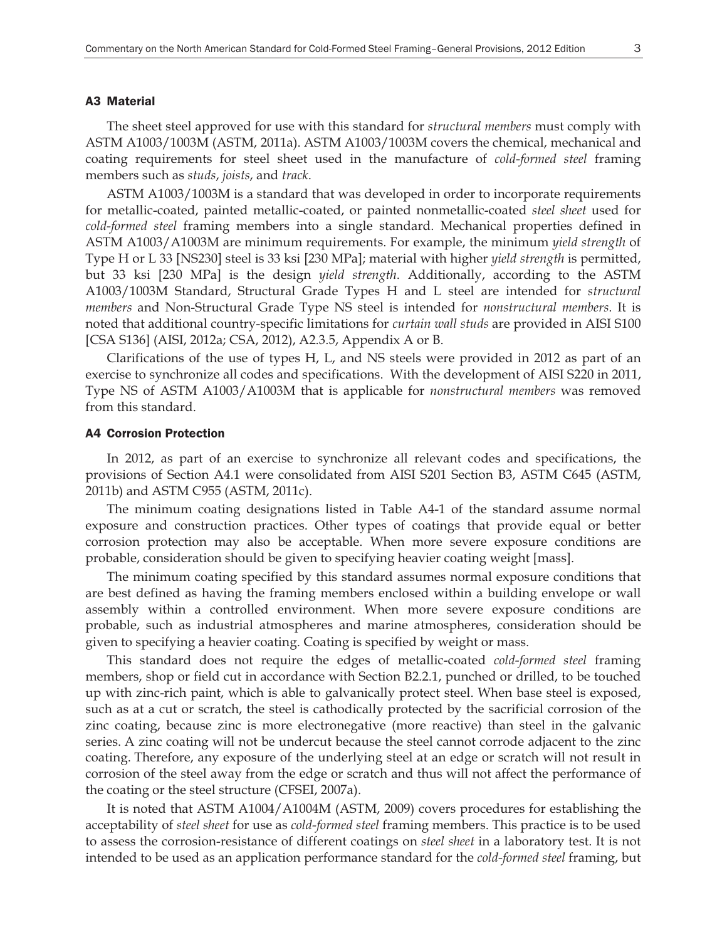#### A3 Material

The sheet steel approved for use with this standard for *structural members* must comply with ASTM A1003/1003M (ASTM, 2011a). ASTM A1003/1003M covers the chemical, mechanical and coating requirements for steel sheet used in the manufacture of *cold-formed steel* framing members such as *studs*, *joists*, and *track*.

ASTM A1003/1003M is a standard that was developed in order to incorporate requirements for metallic-coated, painted metallic-coated, or painted nonmetallic-coated *steel sheet* used for *cold-formed steel* framing members into a single standard. Mechanical properties defined in ASTM A1003/A1003M are minimum requirements. For example, the minimum *yield strength* of Type H or L 33 [NS230] steel is 33 ksi [230 MPa]; material with higher *yield strength* is permitted, but 33 ksi [230 MPa] is the design *yield strength*. Additionally, according to the ASTM A1003/1003M Standard, Structural Grade Types H and L steel are intended for *structural members* and Non-Structural Grade Type NS steel is intended for *nonstructural members*. It is noted that additional country-specific limitations for *curtain wall studs* are provided in AISI S100 [CSA S136] (AISI, 2012a; CSA, 2012), A2.3.5, Appendix A or B.

Clarifications of the use of types H, L, and NS steels were provided in 2012 as part of an exercise to synchronize all codes and specifications. With the development of AISI S220 in 2011, Type NS of ASTM A1003/A1003M that is applicable for *nonstructural members* was removed from this standard.

#### A4 Corrosion Protection

In 2012, as part of an exercise to synchronize all relevant codes and specifications, the provisions of Section A4.1 were consolidated from AISI S201 Section B3, ASTM C645 (ASTM, 2011b) and ASTM C955 (ASTM, 2011c).

The minimum coating designations listed in Table A4-1 of the standard assume normal exposure and construction practices. Other types of coatings that provide equal or better corrosion protection may also be acceptable. When more severe exposure conditions are probable, consideration should be given to specifying heavier coating weight [mass].

The minimum coating specified by this standard assumes normal exposure conditions that are best defined as having the framing members enclosed within a building envelope or wall assembly within a controlled environment. When more severe exposure conditions are probable, such as industrial atmospheres and marine atmospheres, consideration should be given to specifying a heavier coating. Coating is specified by weight or mass.

This standard does not require the edges of metallic-coated *cold-formed steel* framing members, shop or field cut in accordance with Section B2.2.1, punched or drilled, to be touched up with zinc-rich paint, which is able to galvanically protect steel. When base steel is exposed, such as at a cut or scratch, the steel is cathodically protected by the sacrificial corrosion of the zinc coating, because zinc is more electronegative (more reactive) than steel in the galvanic series. A zinc coating will not be undercut because the steel cannot corrode adjacent to the zinc coating. Therefore, any exposure of the underlying steel at an edge or scratch will not result in corrosion of the steel away from the edge or scratch and thus will not affect the performance of the coating or the steel structure (CFSEI, 2007a).

It is noted that ASTM A1004/A1004M (ASTM, 2009) covers procedures for establishing the acceptability of *steel sheet* for use as *cold-formed steel* framing members. This practice is to be used to assess the corrosion-resistance of different coatings on *steel sheet* in a laboratory test. It is not intended to be used as an application performance standard for the *cold-formed steel* framing, but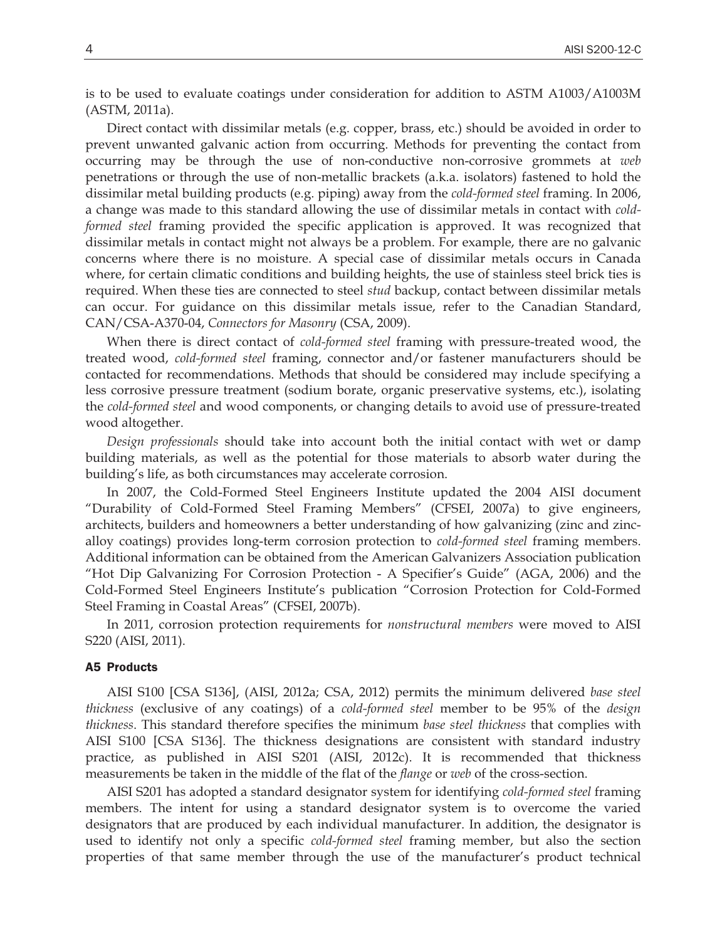is to be used to evaluate coatings under consideration for addition to ASTM A1003/A1003M (ASTM, 2011a).

Direct contact with dissimilar metals (e.g. copper, brass, etc.) should be avoided in order to prevent unwanted galvanic action from occurring. Methods for preventing the contact from occurring may be through the use of non-conductive non-corrosive grommets at *web* penetrations or through the use of non-metallic brackets (a.k.a. isolators) fastened to hold the dissimilar metal building products (e.g. piping) away from the *cold-formed steel* framing. In 2006, a change was made to this standard allowing the use of dissimilar metals in contact with *coldformed steel* framing provided the specific application is approved. It was recognized that dissimilar metals in contact might not always be a problem. For example, there are no galvanic concerns where there is no moisture. A special case of dissimilar metals occurs in Canada where, for certain climatic conditions and building heights, the use of stainless steel brick ties is required. When these ties are connected to steel *stud* backup, contact between dissimilar metals can occur. For guidance on this dissimilar metals issue, refer to the Canadian Standard, CAN/CSA-A370-04, *Connectors for Masonry* (CSA, 2009).

When there is direct contact of *cold-formed steel* framing with pressure-treated wood, the treated wood, *cold-formed steel* framing, connector and/or fastener manufacturers should be contacted for recommendations. Methods that should be considered may include specifying a less corrosive pressure treatment (sodium borate, organic preservative systems, etc.), isolating the *cold-formed steel* and wood components, or changing details to avoid use of pressure-treated wood altogether.

*Design professionals* should take into account both the initial contact with wet or damp building materials, as well as the potential for those materials to absorb water during the building's life, as both circumstances may accelerate corrosion.

In 2007, the Cold-Formed Steel Engineers Institute updated the 2004 AISI document "Durability of Cold-Formed Steel Framing Members" (CFSEI, 2007a) to give engineers, architects, builders and homeowners a better understanding of how galvanizing (zinc and zincalloy coatings) provides long-term corrosion protection to *cold-formed steel* framing members. Additional information can be obtained from the American Galvanizers Association publication "Hot Dip Galvanizing For Corrosion Protection - A Specifier's Guide" (AGA, 2006) and the Cold-Formed Steel Engineers Institute's publication "Corrosion Protection for Cold-Formed Steel Framing in Coastal Areas" (CFSEI, 2007b).

In 2011, corrosion protection requirements for *nonstructural members* were moved to AISI S220 (AISI, 2011).

#### A5 Products

AISI S100 [CSA S136], (AISI, 2012a; CSA, 2012) permits the minimum delivered *base steel thickness* (exclusive of any coatings) of a *cold-formed steel* member to be 95% of the *design thickness*. This standard therefore specifies the minimum *base steel thickness* that complies with AISI S100 [CSA S136]. The thickness designations are consistent with standard industry practice, as published in AISI S201 (AISI, 2012c). It is recommended that thickness measurements be taken in the middle of the flat of the *flange* or *web* of the cross-section.

AISI S201 has adopted a standard designator system for identifying *cold-formed steel* framing members. The intent for using a standard designator system is to overcome the varied designators that are produced by each individual manufacturer. In addition, the designator is used to identify not only a specific *cold-formed steel* framing member, but also the section properties of that same member through the use of the manufacturer's product technical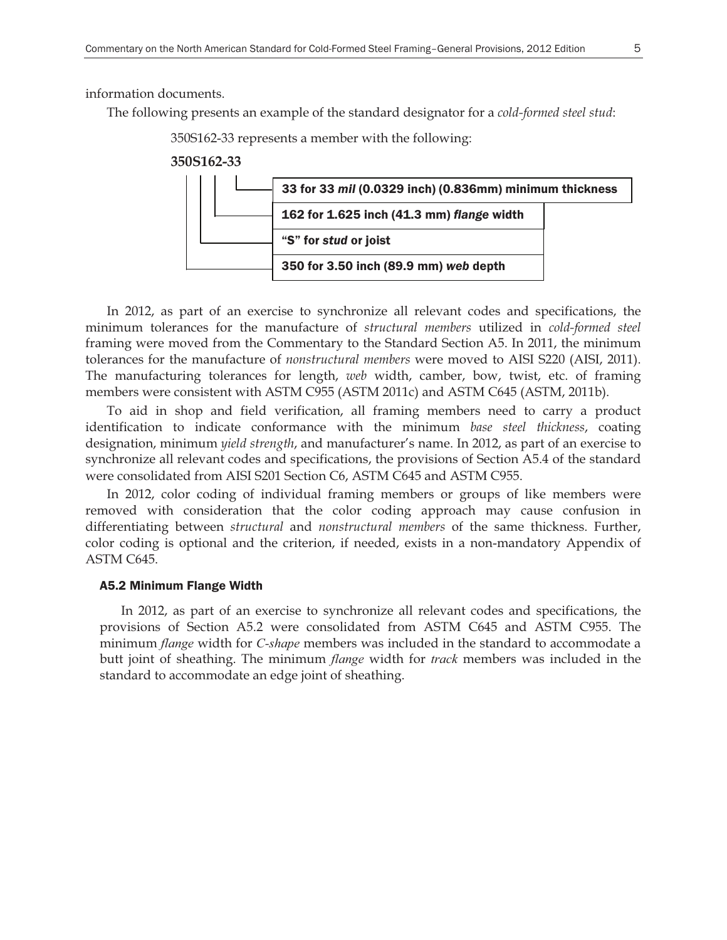information documents.

The following presents an example of the standard designator for a *cold-formed steel stud*:

350S162-33 represents a member with the following:

## **350S162-33**



In 2012, as part of an exercise to synchronize all relevant codes and specifications, the minimum tolerances for the manufacture of *structural members* utilized in *cold-formed steel* framing were moved from the Commentary to the Standard Section A5. In 2011, the minimum tolerances for the manufacture of *nonstructural members* were moved to AISI S220 (AISI, 2011). The manufacturing tolerances for length, *web* width, camber, bow, twist, etc. of framing members were consistent with ASTM C955 (ASTM 2011c) and ASTM C645 (ASTM, 2011b).

To aid in shop and field verification, all framing members need to carry a product identification to indicate conformance with the minimum *base steel thickness*, coating designation, minimum *yield strength*, and manufacturer's name. In 2012, as part of an exercise to synchronize all relevant codes and specifications, the provisions of Section A5.4 of the standard were consolidated from AISI S201 Section C6, ASTM C645 and ASTM C955.

In 2012, color coding of individual framing members or groups of like members were removed with consideration that the color coding approach may cause confusion in differentiating between *structural* and *nonstructural members* of the same thickness. Further, color coding is optional and the criterion, if needed, exists in a non-mandatory Appendix of ASTM C645.

#### A5.2 Minimum Flange Width

In 2012, as part of an exercise to synchronize all relevant codes and specifications, the provisions of Section A5.2 were consolidated from ASTM C645 and ASTM C955. The minimum *flange* width for *C-shape* members was included in the standard to accommodate a butt joint of sheathing. The minimum *flange* width for *track* members was included in the standard to accommodate an edge joint of sheathing.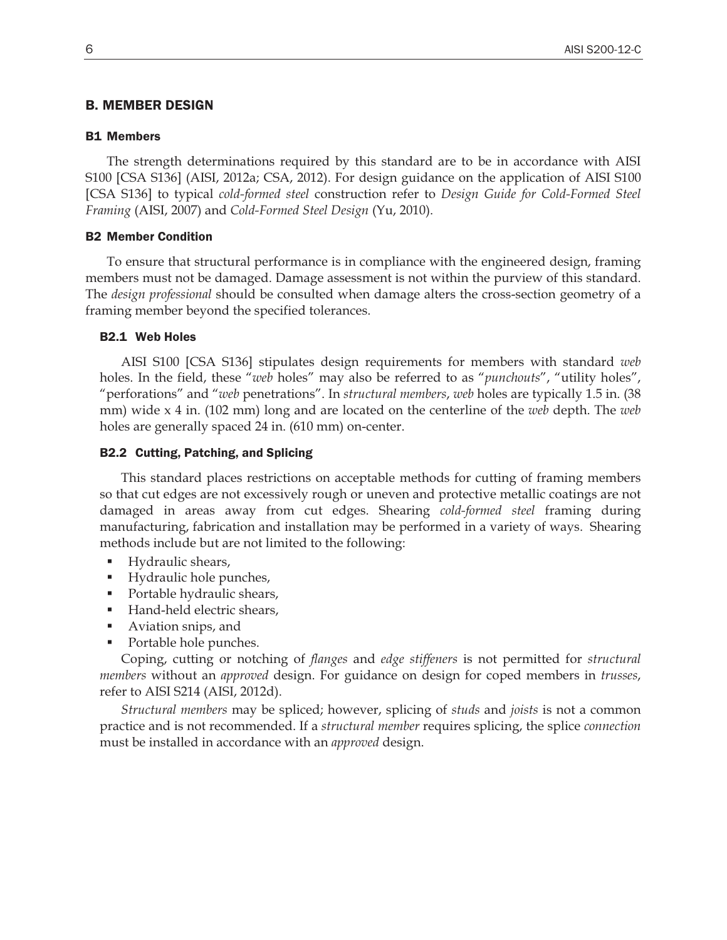## B. MEMBER DESIGN

#### B1 Members

The strength determinations required by this standard are to be in accordance with AISI S100 [CSA S136] (AISI, 2012a; CSA, 2012). For design guidance on the application of AISI S100 [CSA S136] to typical *cold-formed steel* construction refer to *Design Guide for Cold-Formed Steel Framing* (AISI, 2007) and *Cold-Formed Steel Design* (Yu, 2010).

#### B2 Member Condition

To ensure that structural performance is in compliance with the engineered design, framing members must not be damaged. Damage assessment is not within the purview of this standard. The *design professional* should be consulted when damage alters the cross-section geometry of a framing member beyond the specified tolerances.

#### B2.1 Web Holes

AISI S100 [CSA S136] stipulates design requirements for members with standard *web* holes. In the field, these "*web* holes" may also be referred to as "*punchouts*", "utility holes", "perforations" and "*web* penetrations". In *structural members*, *web* holes are typically 1.5 in. (38 mm) wide x 4 in. (102 mm) long and are located on the centerline of the *web* depth. The *web* holes are generally spaced 24 in. (610 mm) on-center.

#### B2.2 Cutting, Patching, and Splicing

This standard places restrictions on acceptable methods for cutting of framing members so that cut edges are not excessively rough or uneven and protective metallic coatings are not damaged in areas away from cut edges. Shearing *cold-formed steel* framing during manufacturing, fabrication and installation may be performed in a variety of ways. Shearing methods include but are not limited to the following:

- -Hydraulic shears,
- -Hydraulic hole punches,
- -Portable hydraulic shears,
- **Hand-held electric shears,**
- -Aviation snips, and
- -Portable hole punches.

Coping, cutting or notching of *flanges* and *edge stiffeners* is not permitted for *structural members* without an *approved* design. For guidance on design for coped members in *trusses*, refer to AISI S214 (AISI, 2012d).

*Structural members* may be spliced; however, splicing of *studs* and *joists* is not a common practice and is not recommended. If a *structural member* requires splicing, the splice *connection* must be installed in accordance with an *approved* design.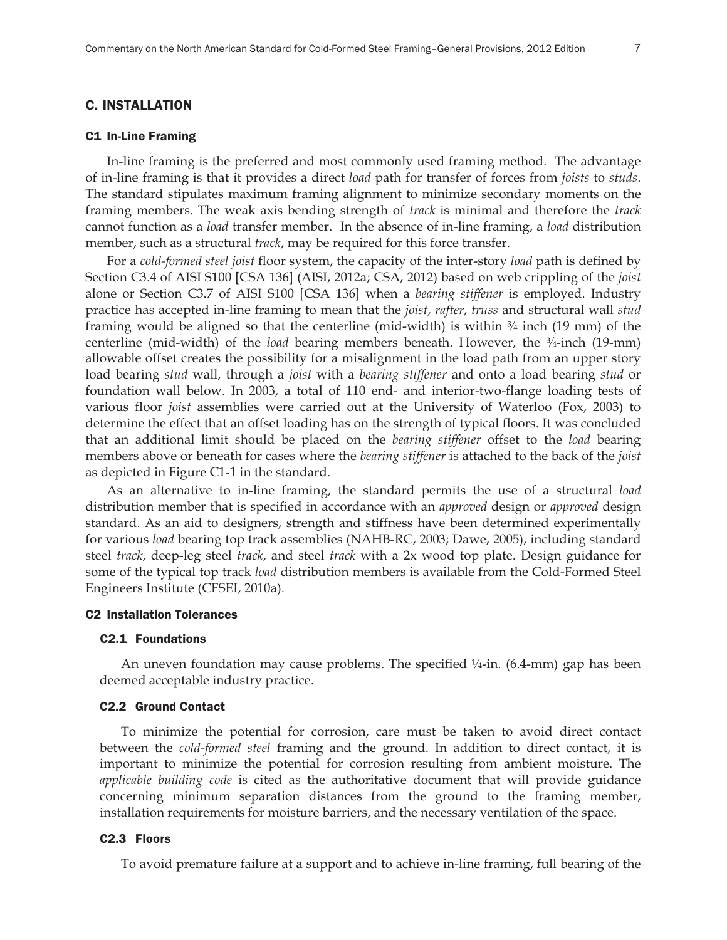#### C. INSTALLATION

#### C1 In-Line Framing

In-line framing is the preferred and most commonly used framing method. The advantage of in-line framing is that it provides a direct *load* path for transfer of forces from *joists* to *studs*. The standard stipulates maximum framing alignment to minimize secondary moments on the framing members. The weak axis bending strength of *track* is minimal and therefore the *track* cannot function as a *load* transfer member. In the absence of in-line framing, a *load* distribution member, such as a structural *track*, may be required for this force transfer.

For a *cold-formed steel joist* floor system, the capacity of the inter-story *load* path is defined by Section C3.4 of AISI S100 [CSA 136] (AISI, 2012a; CSA, 2012) based on web crippling of the *joist* alone or Section C3.7 of AISI S100 [CSA 136] when a *bearing stiffener* is employed. Industry practice has accepted in-line framing to mean that the *joist*, *rafter*, *truss* and structural wall *stud* framing would be aligned so that the centerline (mid-width) is within ¾ inch (19 mm) of the centerline (mid-width) of the *load* bearing members beneath. However, the ¾-inch (19-mm) allowable offset creates the possibility for a misalignment in the load path from an upper story load bearing *stud* wall, through a *joist* with a *bearing stiffener* and onto a load bearing *stud* or foundation wall below. In 2003, a total of 110 end- and interior-two-flange loading tests of various floor *joist* assemblies were carried out at the University of Waterloo (Fox, 2003) to determine the effect that an offset loading has on the strength of typical floors. It was concluded that an additional limit should be placed on the *bearing stiffener* offset to the *load* bearing members above or beneath for cases where the *bearing stiffener* is attached to the back of the *joist* as depicted in Figure C1-1 in the standard.

As an alternative to in-line framing, the standard permits the use of a structural *load* distribution member that is specified in accordance with an *approved* design or *approved* design standard. As an aid to designers, strength and stiffness have been determined experimentally for various *load* bearing top track assemblies (NAHB-RC, 2003; Dawe, 2005), including standard steel *track*, deep-leg steel *track*, and steel *track* with a 2x wood top plate. Design guidance for some of the typical top track *load* distribution members is available from the Cold-Formed Steel Engineers Institute (CFSEI, 2010a).

#### C2 Installation Tolerances

#### C2.1 Foundations

An uneven foundation may cause problems. The specified  $\frac{1}{4}$ -in. (6.4-mm) gap has been deemed acceptable industry practice.

#### C2.2 Ground Contact

To minimize the potential for corrosion, care must be taken to avoid direct contact between the *cold-formed steel* framing and the ground. In addition to direct contact, it is important to minimize the potential for corrosion resulting from ambient moisture. The *applicable building code* is cited as the authoritative document that will provide guidance concerning minimum separation distances from the ground to the framing member, installation requirements for moisture barriers, and the necessary ventilation of the space.

#### C2.3 Floors

To avoid premature failure at a support and to achieve in-line framing, full bearing of the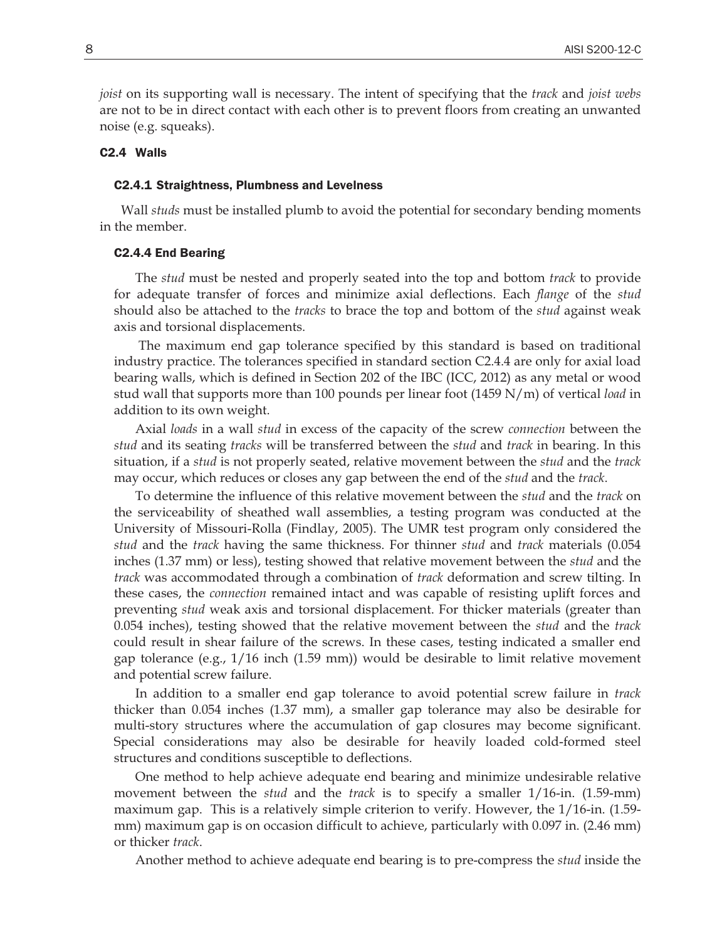*joist* on its supporting wall is necessary. The intent of specifying that the *track* and *joist webs* are not to be in direct contact with each other is to prevent floors from creating an unwanted noise (e.g. squeaks).

### C2.4 Walls

#### C2.4.1 Straightness, Plumbness and Levelness

Wall *studs* must be installed plumb to avoid the potential for secondary bending moments in the member.

#### C2.4.4 End Bearing

The *stud* must be nested and properly seated into the top and bottom *track* to provide for adequate transfer of forces and minimize axial deflections. Each *flange* of the *stud* should also be attached to the *tracks* to brace the top and bottom of the *stud* against weak axis and torsional displacements.

 The maximum end gap tolerance specified by this standard is based on traditional industry practice. The tolerances specified in standard section C2.4.4 are only for axial load bearing walls, which is defined in Section 202 of the IBC (ICC, 2012) as any metal or wood stud wall that supports more than 100 pounds per linear foot (1459 N/m) of vertical *load* in addition to its own weight.

Axial *loads* in a wall *stud* in excess of the capacity of the screw *connection* between the *stud* and its seating *tracks* will be transferred between the *stud* and *track* in bearing. In this situation, if a *stud* is not properly seated, relative movement between the *stud* and the *track* may occur, which reduces or closes any gap between the end of the *stud* and the *track*.

To determine the influence of this relative movement between the *stud* and the *track* on the serviceability of sheathed wall assemblies, a testing program was conducted at the University of Missouri-Rolla (Findlay, 2005). The UMR test program only considered the *stud* and the *track* having the same thickness. For thinner *stud* and *track* materials (0.054 inches (1.37 mm) or less), testing showed that relative movement between the *stud* and the *track* was accommodated through a combination of *track* deformation and screw tilting. In these cases, the *connection* remained intact and was capable of resisting uplift forces and preventing *stud* weak axis and torsional displacement. For thicker materials (greater than 0.054 inches), testing showed that the relative movement between the *stud* and the *track* could result in shear failure of the screws. In these cases, testing indicated a smaller end gap tolerance (e.g., 1/16 inch (1.59 mm)) would be desirable to limit relative movement and potential screw failure.

In addition to a smaller end gap tolerance to avoid potential screw failure in *track* thicker than 0.054 inches (1.37 mm), a smaller gap tolerance may also be desirable for multi-story structures where the accumulation of gap closures may become significant. Special considerations may also be desirable for heavily loaded cold-formed steel structures and conditions susceptible to deflections.

One method to help achieve adequate end bearing and minimize undesirable relative movement between the *stud* and the *track* is to specify a smaller 1/16-in. (1.59-mm) maximum gap. This is a relatively simple criterion to verify. However, the 1/16-in. (1.59 mm) maximum gap is on occasion difficult to achieve, particularly with 0.097 in. (2.46 mm) or thicker *track*.

Another method to achieve adequate end bearing is to pre-compress the *stud* inside the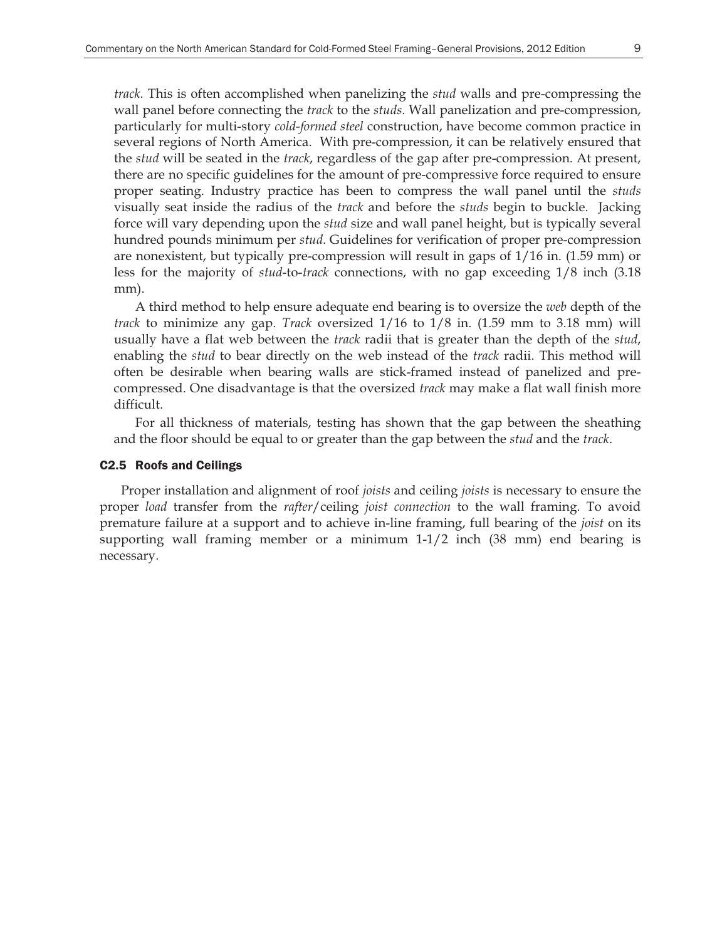*track*. This is often accomplished when panelizing the *stud* walls and pre-compressing the wall panel before connecting the *track* to the *studs*. Wall panelization and pre-compression, particularly for multi-story *cold-formed steel* construction, have become common practice in several regions of North America. With pre-compression, it can be relatively ensured that the *stud* will be seated in the *track*, regardless of the gap after pre-compression. At present, there are no specific guidelines for the amount of pre-compressive force required to ensure proper seating. Industry practice has been to compress the wall panel until the *studs* visually seat inside the radius of the *track* and before the *studs* begin to buckle. Jacking force will vary depending upon the *stud* size and wall panel height, but is typically several hundred pounds minimum per *stud*. Guidelines for verification of proper pre-compression are nonexistent, but typically pre-compression will result in gaps of 1/16 in. (1.59 mm) or less for the majority of *stud*-to-*track* connections, with no gap exceeding 1/8 inch (3.18 mm).

A third method to help ensure adequate end bearing is to oversize the *web* depth of the *track* to minimize any gap. *Track* oversized 1/16 to 1/8 in. (1.59 mm to 3.18 mm) will usually have a flat web between the *track* radii that is greater than the depth of the *stud*, enabling the *stud* to bear directly on the web instead of the *track* radii. This method will often be desirable when bearing walls are stick-framed instead of panelized and precompressed. One disadvantage is that the oversized *track* may make a flat wall finish more difficult.

For all thickness of materials, testing has shown that the gap between the sheathing and the floor should be equal to or greater than the gap between the *stud* and the *track*.

#### C2.5 Roofs and Ceilings

Proper installation and alignment of roof *joists* and ceiling *joists* is necessary to ensure the proper *load* transfer from the *rafter*/ceiling *joist connection* to the wall framing. To avoid premature failure at a support and to achieve in-line framing, full bearing of the *joist* on its supporting wall framing member or a minimum 1-1/2 inch (38 mm) end bearing is necessary.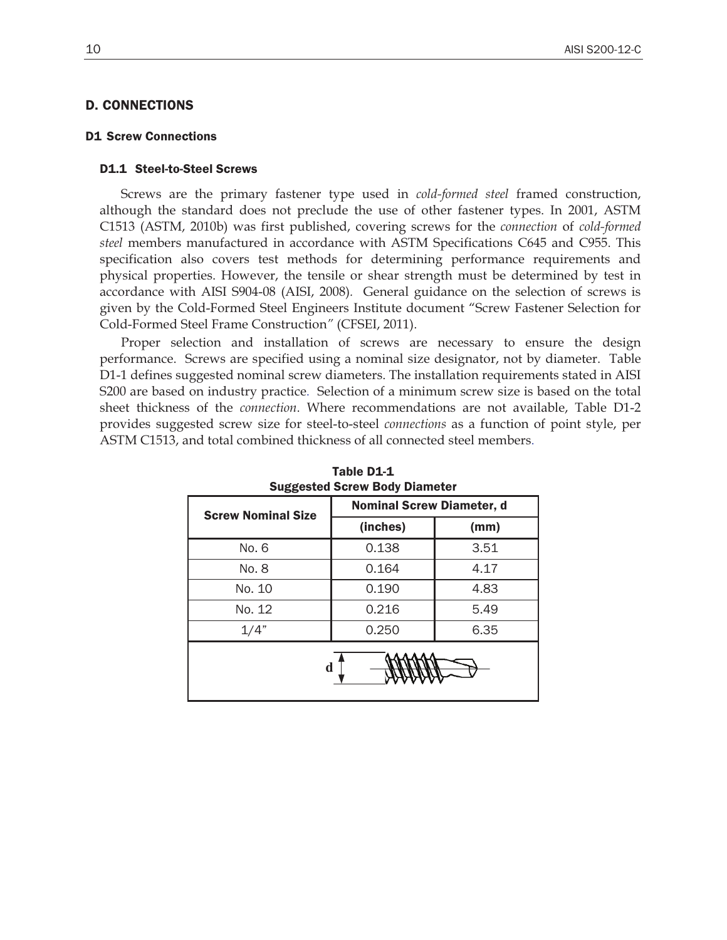## D. CONNECTIONS

#### D1 Screw Connections

#### D1.1 Steel-to-Steel Screws

Screws are the primary fastener type used in *cold-formed steel* framed construction, although the standard does not preclude the use of other fastener types. In 2001, ASTM C1513 (ASTM, 2010b) was first published, covering screws for the *connection* of *cold-formed steel* members manufactured in accordance with ASTM Specifications C645 and C955. This specification also covers test methods for determining performance requirements and physical properties. However, the tensile or shear strength must be determined by test in accordance with AISI S904-08 (AISI, 2008)*.* General guidance on the selection of screws is given by the Cold-Formed Steel Engineers Institute document "Screw Fastener Selection for Cold-Formed Steel Frame Construction*"* (CFSEI, 2011).

Proper selection and installation of screws are necessary to ensure the design performance. Screws are specified using a nominal size designator, not by diameter. Table D1-1 defines suggested nominal screw diameters. The installation requirements stated in AISI S200 are based on industry practice. Selection of a minimum screw size is based on the total sheet thickness of the *connection*. Where recommendations are not available, Table D1-2 provides suggested screw size for steel-to-steel *connections* as a function of point style, per ASTM C1513, and total combined thickness of all connected steel members.

| <b>Screw Nominal Size</b> | <b>Nominal Screw Diameter, d</b> |      |  |
|---------------------------|----------------------------------|------|--|
|                           | (inches)                         | (mm) |  |
| No. 6                     | 0.138                            | 3.51 |  |
| No. 8                     | 0.164                            | 4.17 |  |
| No. 10                    | 0.190                            | 4.83 |  |
| No. 12                    | 0.216                            | 5.49 |  |
| 1/4"                      | 0.250                            | 6.35 |  |
| d                         |                                  |      |  |

Table D1-1 Suggested Screw Body Diameter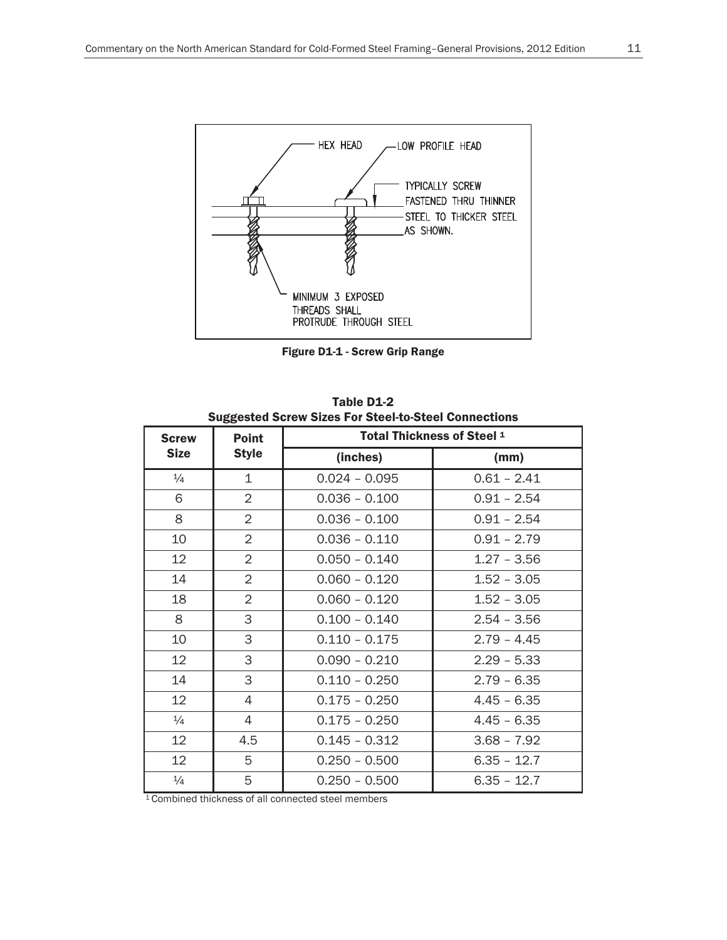

Figure D1-1 - Screw Grip Range

| Suggested Screw Sizes For Steel-to-Steel Connections |                |                            |               |  |
|------------------------------------------------------|----------------|----------------------------|---------------|--|
| <b>Screw</b>                                         | <b>Point</b>   | Total Thickness of Steel 1 |               |  |
| <b>Size</b>                                          | <b>Style</b>   | (inches)                   | (mm)          |  |
| $\frac{1}{4}$                                        | $\mathbf 1$    | $0.024 - 0.095$            | $0.61 - 2.41$ |  |
| 6                                                    | $\overline{2}$ | $0.036 - 0.100$            | $0.91 - 2.54$ |  |
| 8                                                    | $\overline{2}$ | $0.036 - 0.100$            | $0.91 - 2.54$ |  |
| 10                                                   | $\overline{2}$ | $0.036 - 0.110$            | $0.91 - 2.79$ |  |
| 12                                                   | $\overline{2}$ | $0.050 - 0.140$            | $1.27 - 3.56$ |  |
| 14                                                   | $\overline{2}$ | $0.060 - 0.120$            | $1.52 - 3.05$ |  |
| 18                                                   | $\overline{2}$ | $0.060 - 0.120$            | $1.52 - 3.05$ |  |
| 8                                                    | 3              | $0.100 - 0.140$            | $2.54 - 3.56$ |  |
| 10                                                   | 3              | $0.110 - 0.175$            | $2.79 - 4.45$ |  |
| 12                                                   | 3              | $0.090 - 0.210$            | $2.29 - 5.33$ |  |
| 14                                                   | 3              | $0.110 - 0.250$            | $2.79 - 6.35$ |  |
| 12                                                   | 4              | $0.175 - 0.250$            | $4.45 - 6.35$ |  |
| $\frac{1}{4}$                                        | 4              | $0.175 - 0.250$            | $4.45 - 6.35$ |  |
| 12 <sup>°</sup>                                      | 4.5            | $0.145 - 0.312$            | $3.68 - 7.92$ |  |
| 12 <sup>°</sup>                                      | 5              | $0.250 - 0.500$            | $6.35 - 12.7$ |  |
| $\frac{1}{4}$                                        | 5              | $0.250 - 0.500$            | $6.35 - 12.7$ |  |

Table D1-2 Suggested Screw Sizes For Steel-to-Steel Connections

1 Combined thickness of all connected steel members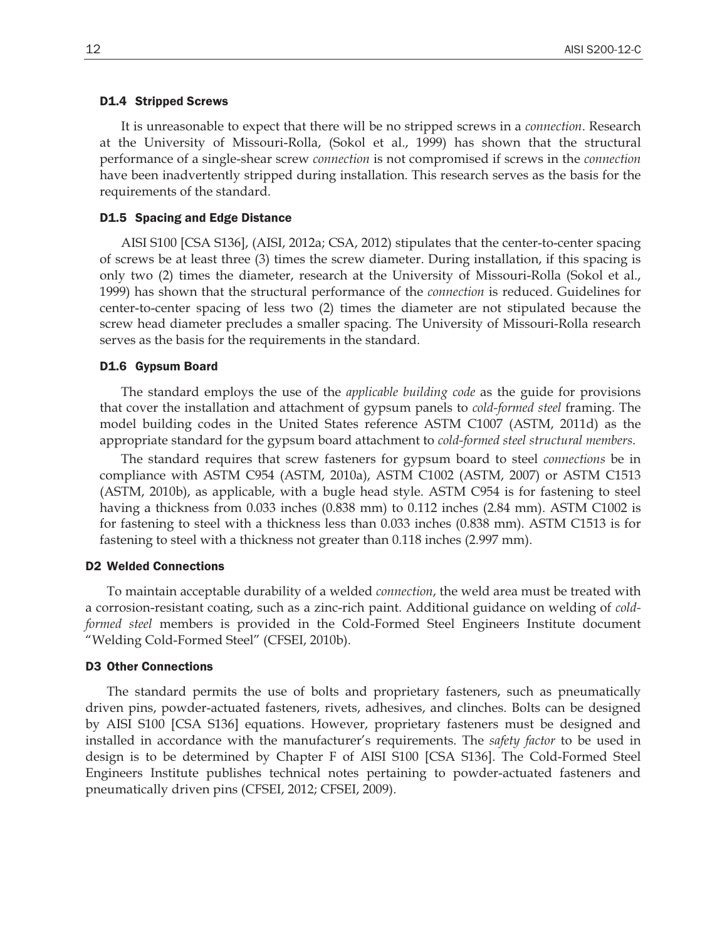#### D1.4 Stripped Screws

It is unreasonable to expect that there will be no stripped screws in a *connection*. Research at the University of Missouri-Rolla, (Sokol et al., 1999) has shown that the structural performance of a single-shear screw *connection* is not compromised if screws in the *connection* have been inadvertently stripped during installation. This research serves as the basis for the requirements of the standard.

#### D1.5 Spacing and Edge Distance

AISI S100 [CSA S136], (AISI, 2012a; CSA, 2012) stipulates that the center-to-center spacing of screws be at least three (3) times the screw diameter. During installation, if this spacing is only two (2) times the diameter, research at the University of Missouri-Rolla (Sokol et al., 1999) has shown that the structural performance of the *connection* is reduced. Guidelines for center-to-center spacing of less two (2) times the diameter are not stipulated because the screw head diameter precludes a smaller spacing. The University of Missouri-Rolla research serves as the basis for the requirements in the standard.

#### D1.6 Gypsum Board

The standard employs the use of the *applicable building code* as the guide for provisions that cover the installation and attachment of gypsum panels to *cold-formed steel* framing. The model building codes in the United States reference ASTM C1007 (ASTM, 2011d) as the appropriate standard for the gypsum board attachment to *cold-formed steel structural members*.

The standard requires that screw fasteners for gypsum board to steel *connections* be in compliance with ASTM C954 (ASTM, 2010a), ASTM C1002 (ASTM, 2007) or ASTM C1513 (ASTM, 2010b), as applicable, with a bugle head style. ASTM C954 is for fastening to steel having a thickness from 0.033 inches (0.838 mm) to 0.112 inches (2.84 mm). ASTM C1002 is for fastening to steel with a thickness less than 0.033 inches (0.838 mm). ASTM C1513 is for fastening to steel with a thickness not greater than 0.118 inches (2.997 mm).

#### D2 Welded Connections

To maintain acceptable durability of a welded *connection*, the weld area must be treated with a corrosion-resistant coating, such as a zinc-rich paint. Additional guidance on welding of *coldformed steel* members is provided in the Cold-Formed Steel Engineers Institute document "Welding Cold-Formed Steel" (CFSEI, 2010b).

#### D3 Other Connections

The standard permits the use of bolts and proprietary fasteners, such as pneumatically driven pins, powder-actuated fasteners, rivets, adhesives, and clinches. Bolts can be designed by AISI S100 [CSA S136] equations. However, proprietary fasteners must be designed and installed in accordance with the manufacturer's requirements. The *safety factor* to be used in design is to be determined by Chapter F of AISI S100 [CSA S136]. The Cold-Formed Steel Engineers Institute publishes technical notes pertaining to powder-actuated fasteners and pneumatically driven pins (CFSEI, 2012; CFSEI, 2009).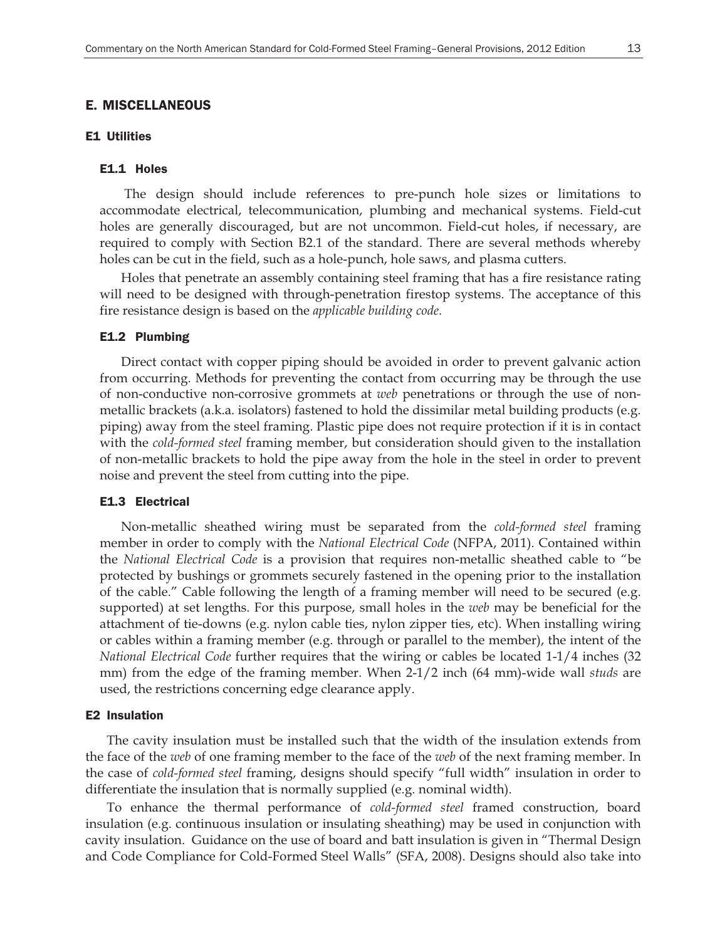#### E. MISCELLANEOUS

## E1 Utilities

#### E1.1 Holes

 The design should include references to pre-punch hole sizes or limitations to accommodate electrical, telecommunication, plumbing and mechanical systems. Field-cut holes are generally discouraged, but are not uncommon. Field-cut holes, if necessary, are required to comply with Section B2.1 of the standard. There are several methods whereby holes can be cut in the field, such as a hole-punch, hole saws, and plasma cutters.

Holes that penetrate an assembly containing steel framing that has a fire resistance rating will need to be designed with through-penetration firestop systems. The acceptance of this fire resistance design is based on the *applicable building code*.

#### E1.2 Plumbing

Direct contact with copper piping should be avoided in order to prevent galvanic action from occurring. Methods for preventing the contact from occurring may be through the use of non-conductive non-corrosive grommets at *web* penetrations or through the use of nonmetallic brackets (a.k.a. isolators) fastened to hold the dissimilar metal building products (e.g. piping) away from the steel framing. Plastic pipe does not require protection if it is in contact with the *cold-formed steel* framing member, but consideration should given to the installation of non-metallic brackets to hold the pipe away from the hole in the steel in order to prevent noise and prevent the steel from cutting into the pipe.

#### E1.3 Electrical

Non-metallic sheathed wiring must be separated from the *cold-formed steel* framing member in order to comply with the *National Electrical Code* (NFPA, 2011). Contained within the *National Electrical Code* is a provision that requires non-metallic sheathed cable to "be protected by bushings or grommets securely fastened in the opening prior to the installation of the cable." Cable following the length of a framing member will need to be secured (e.g. supported) at set lengths. For this purpose, small holes in the *web* may be beneficial for the attachment of tie-downs (e.g. nylon cable ties, nylon zipper ties, etc). When installing wiring or cables within a framing member (e.g. through or parallel to the member), the intent of the *National Electrical Code* further requires that the wiring or cables be located 1-1/4 inches (32 mm) from the edge of the framing member. When 2-1/2 inch (64 mm)-wide wall *studs* are used, the restrictions concerning edge clearance apply.

#### E2 Insulation

The cavity insulation must be installed such that the width of the insulation extends from the face of the *web* of one framing member to the face of the *web* of the next framing member. In the case of *cold-formed steel* framing, designs should specify "full width" insulation in order to differentiate the insulation that is normally supplied (e.g. nominal width).

To enhance the thermal performance of *cold-formed steel* framed construction, board insulation (e.g. continuous insulation or insulating sheathing) may be used in conjunction with cavity insulation. Guidance on the use of board and batt insulation is given in "Thermal Design and Code Compliance for Cold-Formed Steel Walls" (SFA, 2008). Designs should also take into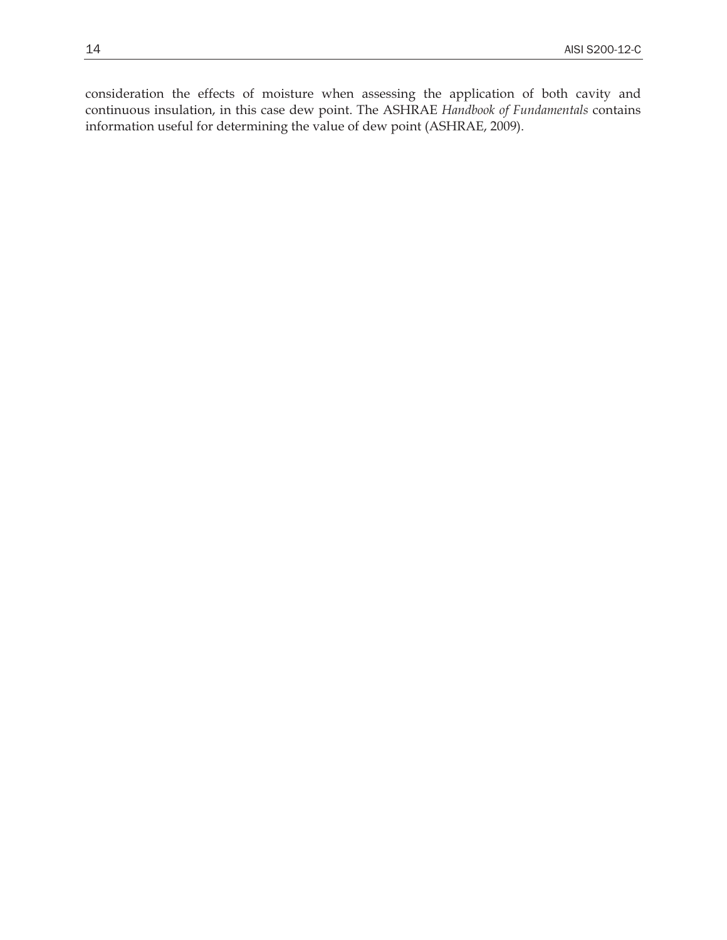consideration the effects of moisture when assessing the application of both cavity and continuous insulation, in this case dew point. The ASHRAE *Handbook of Fundamentals* contains information useful for determining the value of dew point (ASHRAE, 2009).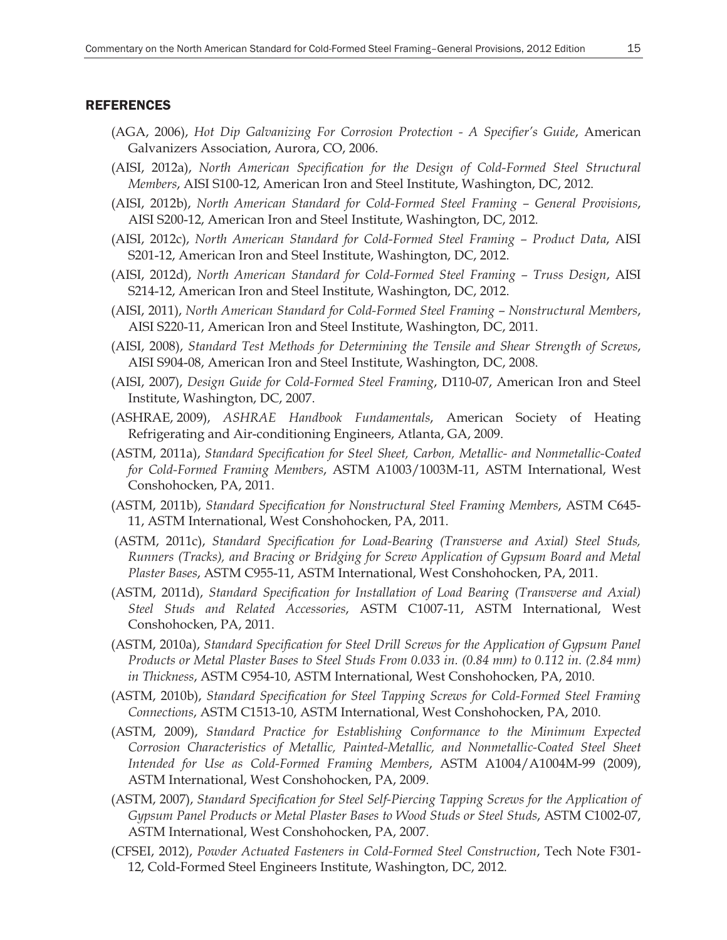#### REFERENCES

- (AGA, 2006), *Hot Dip Galvanizing For Corrosion Protection A Specifier's Guide*, American Galvanizers Association, Aurora, CO, 2006.
- (AISI, 2012a), *North American Specification for the Design of Cold-Formed Steel Structural Members*, AISI S100-12, American Iron and Steel Institute, Washington, DC, 2012.
- (AISI, 2012b), *North American Standard for Cold-Formed Steel Framing General Provisions*, AISI S200-12, American Iron and Steel Institute, Washington, DC, 2012.
- (AISI, 2012c), *North American Standard for Cold-Formed Steel Framing Product Data*, AISI S201-12, American Iron and Steel Institute, Washington, DC, 2012.
- (AISI, 2012d), *North American Standard for Cold-Formed Steel Framing Truss Design*, AISI S214-12, American Iron and Steel Institute, Washington, DC, 2012.
- (AISI, 2011), *North American Standard for Cold-Formed Steel Framing Nonstructural Members*, AISI S220-11, American Iron and Steel Institute, Washington, DC, 2011.
- (AISI, 2008), *Standard Test Methods for Determining the Tensile and Shear Strength of Screws*, AISI S904-08, American Iron and Steel Institute, Washington, DC, 2008.
- (AISI, 2007), *Design Guide for Cold-Formed Steel Framing*, D110-07, American Iron and Steel Institute, Washington, DC, 2007.
- (ASHRAE, 2009), *ASHRAE Handbook Fundamentals*, American Society of Heating Refrigerating and Air-conditioning Engineers, Atlanta, GA, 2009.
- (ASTM, 2011a), *Standard Specification for Steel Sheet, Carbon, Metallic- and Nonmetallic-Coated for Cold-Formed Framing Members*, ASTM A1003/1003M-11, ASTM International, West Conshohocken, PA, 2011.
- (ASTM, 2011b), *Standard Specification for Nonstructural Steel Framing Members*, ASTM C645- 11, ASTM International, West Conshohocken, PA, 2011.
- (ASTM, 2011c), *Standard Specification for Load-Bearing (Transverse and Axial) Steel Studs, Runners (Tracks), and Bracing or Bridging for Screw Application of Gypsum Board and Metal Plaster Bases*, ASTM C955-11, ASTM International, West Conshohocken, PA, 2011.
- (ASTM, 2011d), *Standard Specification for Installation of Load Bearing (Transverse and Axial) Steel Studs and Related Accessories*, ASTM C1007-11, ASTM International, West Conshohocken, PA, 2011.
- (ASTM, 2010a), *Standard Specification for Steel Drill Screws for the Application of Gypsum Panel Products or Metal Plaster Bases to Steel Studs From 0.033 in. (0.84 mm) to 0.112 in. (2.84 mm) in Thickness*, ASTM C954-10, ASTM International, West Conshohocken, PA, 2010.
- (ASTM, 2010b), *Standard Specification for Steel Tapping Screws for Cold-Formed Steel Framing Connections*, ASTM C1513-10, ASTM International, West Conshohocken, PA, 2010.
- (ASTM, 2009), *Standard Practice for Establishing Conformance to the Minimum Expected Corrosion Characteristics of Metallic, Painted-Metallic, and Nonmetallic-Coated Steel Sheet Intended for Use as Cold-Formed Framing Members*, ASTM A1004/A1004M-99 (2009), ASTM International, West Conshohocken, PA, 2009.
- (ASTM, 2007), *Standard Specification for Steel Self-Piercing Tapping Screws for the Application of Gypsum Panel Products or Metal Plaster Bases to Wood Studs or Steel Studs*, ASTM C1002-07, ASTM International, West Conshohocken, PA, 2007.
- (CFSEI, 2012), *Powder Actuated Fasteners in Cold-Formed Steel Construction*, Tech Note F301- 12, Cold-Formed Steel Engineers Institute, Washington, DC, 2012.